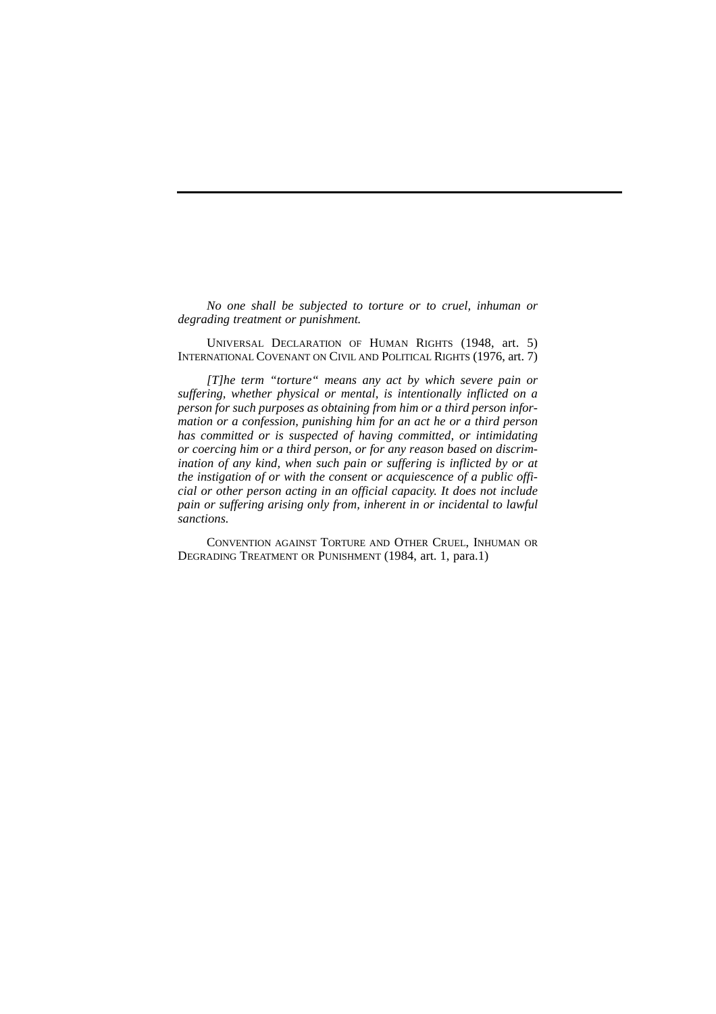*No one shall be subjected to torture or to cruel, inhuman or degrading treatment or punishment.*

UNIVERSAL DECLARATION OF HUMAN RIGHTS (1948, art. 5) INTERNATIONAL COVENANT ON CIVIL AND POLITICAL RIGHTS (1976, art. 7)

*[T]he term "torture" means any act by which severe pain or suffering, whether physical or mental, is intentionally inflicted on a person for such purposes as obtaining from him or a third person information or a confession, punishing him for an act he or a third person has committed or is suspected of having committed, or intimidating or coercing him or a third person, or for any reason based on discrimination of any kind, when such pain or suffering is inflicted by or at the instigation of or with the consent or acquiescence of a public official or other person acting in an official capacity. It does not include pain or suffering arising only from, inherent in or incidental to lawful sanctions.*

CONVENTION AGAINST TORTURE AND OTHER CRUEL, INHUMAN OR DEGRADING TREATMENT OR PUNISHMENT (1984, art. 1, para.1)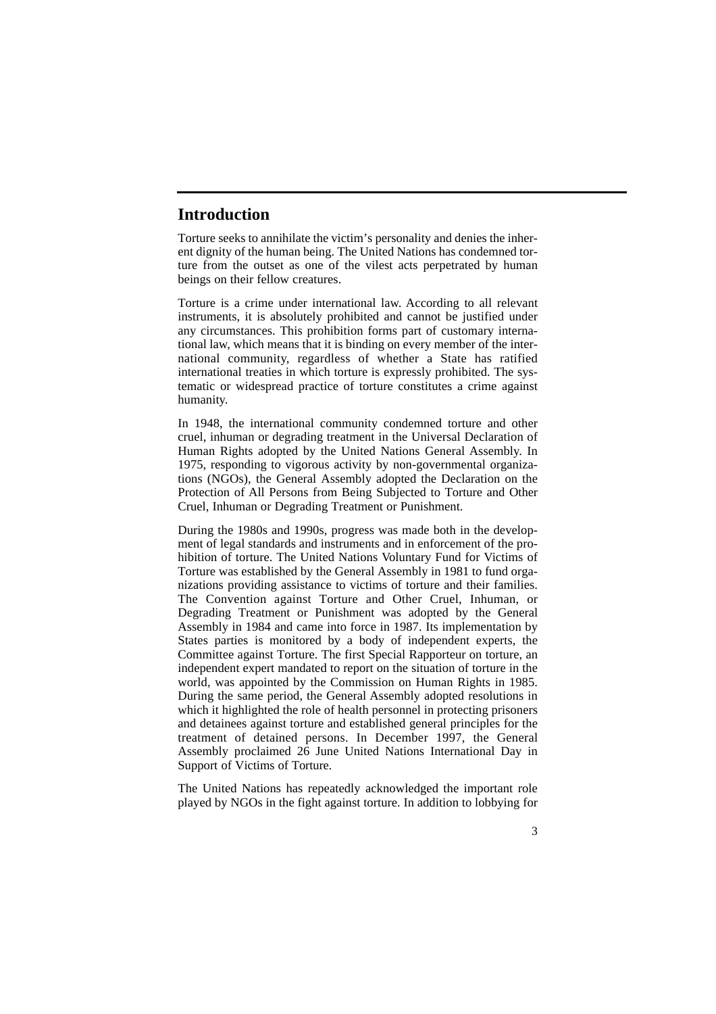## **Introduction**

Torture seeks to annihilate the victim's personality and denies the inherent dignity of the human being. The United Nations has condemned torture from the outset as one of the vilest acts perpetrated by human beings on their fellow creatures.

Torture is a crime under international law. According to all relevant instruments, it is absolutely prohibited and cannot be justified under any circumstances. This prohibition forms part of customary international law, which means that it is binding on every member of the international community, regardless of whether a State has ratified international treaties in which torture is expressly prohibited. The systematic or widespread practice of torture constitutes a crime against humanity.

In 1948, the international community condemned torture and other cruel, inhuman or degrading treatment in the Universal Declaration of Human Rights adopted by the United Nations General Assembly. In 1975, responding to vigorous activity by non-governmental organizations (NGOs), the General Assembly adopted the Declaration on the Protection of All Persons from Being Subjected to Torture and Other Cruel, Inhuman or Degrading Treatment or Punishment.

During the 1980s and 1990s, progress was made both in the development of legal standards and instruments and in enforcement of the prohibition of torture. The United Nations Voluntary Fund for Victims of Torture was established by the General Assembly in 1981 to fund organizations providing assistance to victims of torture and their families. The Convention against Torture and Other Cruel, Inhuman, or Degrading Treatment or Punishment was adopted by the General Assembly in 1984 and came into force in 1987. Its implementation by States parties is monitored by a body of independent experts, the Committee against Torture. The first Special Rapporteur on torture, an independent expert mandated to report on the situation of torture in the world, was appointed by the Commission on Human Rights in 1985. During the same period, the General Assembly adopted resolutions in which it highlighted the role of health personnel in protecting prisoners and detainees against torture and established general principles for the treatment of detained persons. In December 1997, the General Assembly proclaimed 26 June United Nations International Day in Support of Victims of Torture.

The United Nations has repeatedly acknowledged the important role played by NGOs in the fight against torture. In addition to lobbying for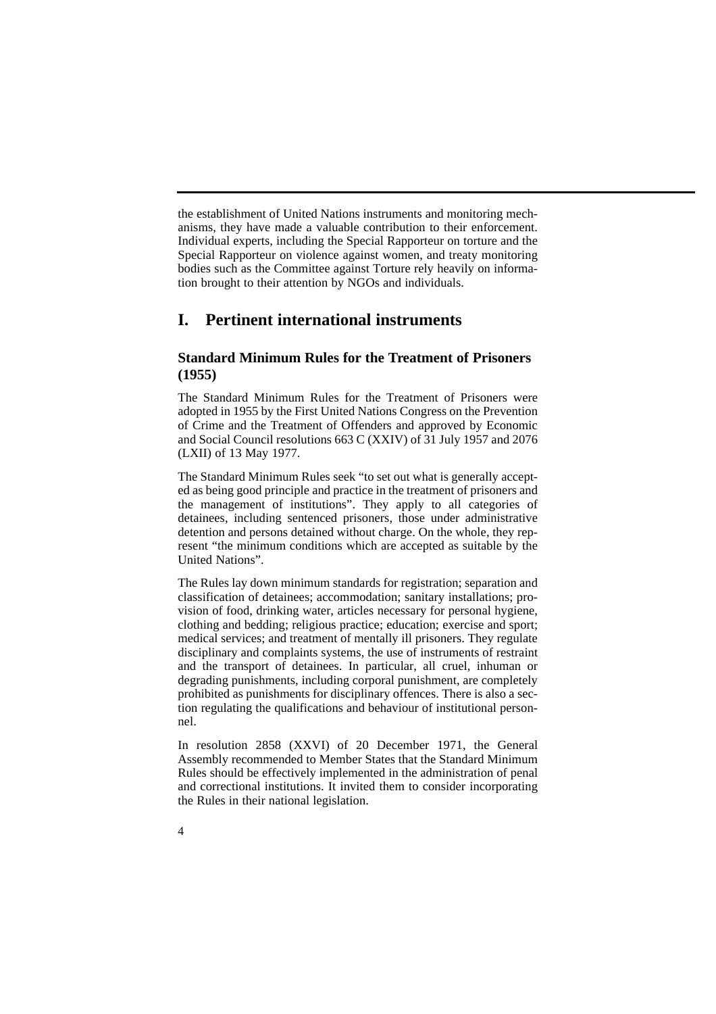the establishment of United Nations instruments and monitoring mechanisms, they have made a valuable contribution to their enforcement. Individual experts, including the Special Rapporteur on torture and the Special Rapporteur on violence against women, and treaty monitoring bodies such as the Committee against Torture rely heavily on information brought to their attention by NGOs and individuals.

# **I. Pertinent international instruments**

## **Standard Minimum Rules for the Treatment of Prisoners (1955)**

The Standard Minimum Rules for the Treatment of Prisoners were adopted in 1955 by the First United Nations Congress on the Prevention of Crime and the Treatment of Offenders and approved by Economic and Social Council resolutions 663 C (XXIV) of 31 July 1957 and 2076 (LXII) of 13 May 1977.

The Standard Minimum Rules seek "to set out what is generally accepted as being good principle and practice in the treatment of prisoners and the management of institutions". They apply to all categories of detainees, including sentenced prisoners, those under administrative detention and persons detained without charge. On the whole, they represent "the minimum conditions which are accepted as suitable by the United Nations".

The Rules lay down minimum standards for registration; separation and classification of detainees; accommodation; sanitary installations; provision of food, drinking water, articles necessary for personal hygiene, clothing and bedding; religious practice; education; exercise and sport; medical services; and treatment of mentally ill prisoners. They regulate disciplinary and complaints systems, the use of instruments of restraint and the transport of detainees. In particular, all cruel, inhuman or degrading punishments, including corporal punishment, are completely prohibited as punishments for disciplinary offences. There is also a section regulating the qualifications and behaviour of institutional personnel.

In resolution 2858 (XXVI) of 20 December 1971, the General Assembly recommended to Member States that the Standard Minimum Rules should be effectively implemented in the administration of penal and correctional institutions. It invited them to consider incorporating the Rules in their national legislation.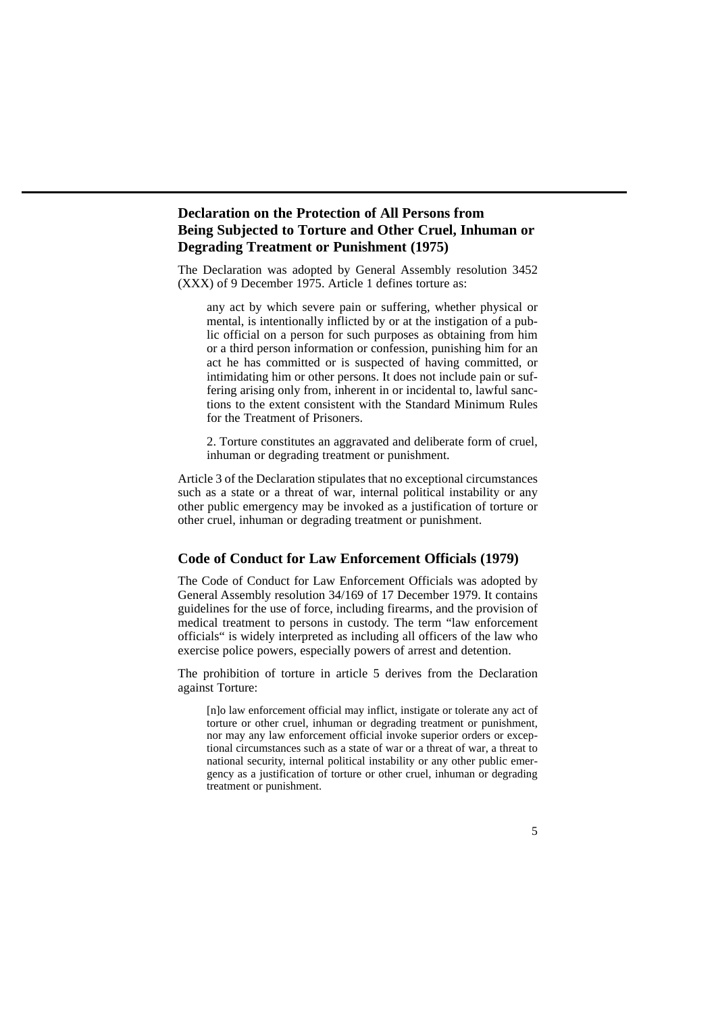# **Declaration on the Protection of All Persons from Being Subjected to Torture and Other Cruel, Inhuman or Degrading Treatment or Punishment (1975)**

The Declaration was adopted by General Assembly resolution 3452 (XXX) of 9 December 1975. Article 1 defines torture as:

any act by which severe pain or suffering, whether physical or mental, is intentionally inflicted by or at the instigation of a public official on a person for such purposes as obtaining from him or a third person information or confession, punishing him for an act he has committed or is suspected of having committed, or intimidating him or other persons. It does not include pain or suffering arising only from, inherent in or incidental to, lawful sanctions to the extent consistent with the Standard Minimum Rules for the Treatment of Prisoners.

2. Torture constitutes an aggravated and deliberate form of cruel, inhuman or degrading treatment or punishment.

Article 3 of the Declaration stipulates that no exceptional circumstances such as a state or a threat of war, internal political instability or any other public emergency may be invoked as a justification of torture or other cruel, inhuman or degrading treatment or punishment.

### **Code of Conduct for Law Enforcement Officials (1979)**

The Code of Conduct for Law Enforcement Officials was adopted by General Assembly resolution 34/169 of 17 December 1979. It contains guidelines for the use of force, including firearms, and the provision of medical treatment to persons in custody. The term "law enforcement officials" is widely interpreted as including all officers of the law who exercise police powers, especially powers of arrest and detention.

The prohibition of torture in article 5 derives from the Declaration against Torture:

[n]o law enforcement official may inflict, instigate or tolerate any act of torture or other cruel, inhuman or degrading treatment or punishment, nor may any law enforcement official invoke superior orders or exceptional circumstances such as a state of war or a threat of war, a threat to national security, internal political instability or any other public emergency as a justification of torture or other cruel, inhuman or degrading treatment or punishment.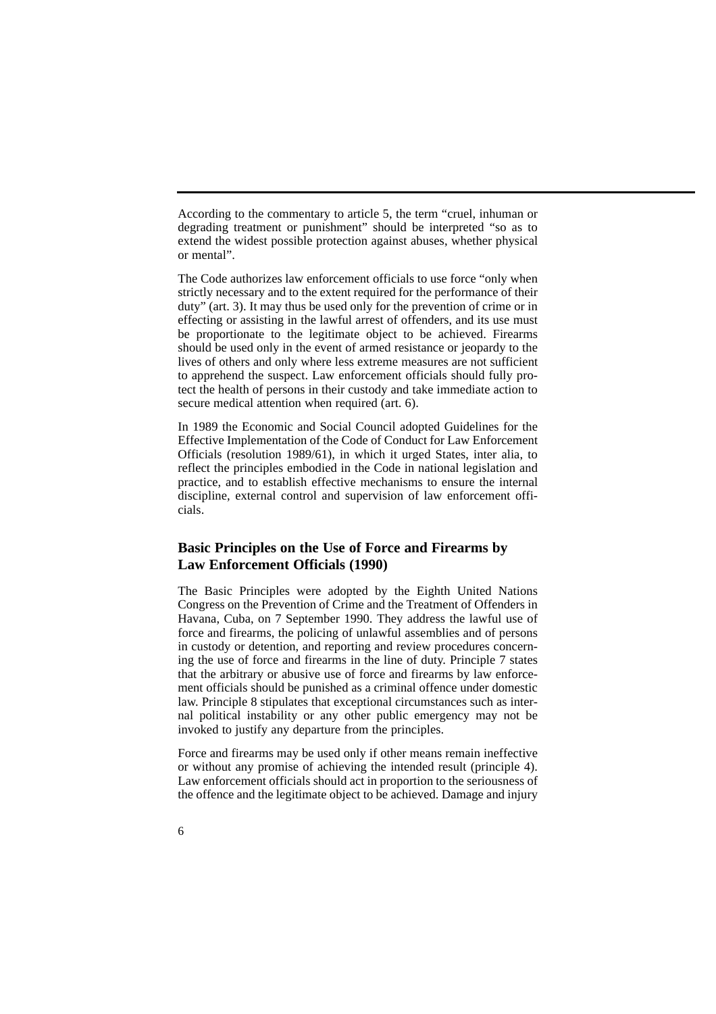According to the commentary to article 5, the term "cruel, inhuman or degrading treatment or punishment" should be interpreted "so as to extend the widest possible protection against abuses, whether physical or mental".

The Code authorizes law enforcement officials to use force "only when strictly necessary and to the extent required for the performance of their duty" (art. 3). It may thus be used only for the prevention of crime or in effecting or assisting in the lawful arrest of offenders, and its use must be proportionate to the legitimate object to be achieved. Firearms should be used only in the event of armed resistance or jeopardy to the lives of others and only where less extreme measures are not sufficient to apprehend the suspect. Law enforcement officials should fully protect the health of persons in their custody and take immediate action to secure medical attention when required (art. 6).

In 1989 the Economic and Social Council adopted Guidelines for the Effective Implementation of the Code of Conduct for Law Enforcement Officials (resolution 1989/61), in which it urged States, inter alia, to reflect the principles embodied in the Code in national legislation and practice, and to establish effective mechanisms to ensure the internal discipline, external control and supervision of law enforcement officials.

## **Basic Principles on the Use of Force and Firearms by Law Enforcement Officials (1990)**

The Basic Principles were adopted by the Eighth United Nations Congress on the Prevention of Crime and the Treatment of Offenders in Havana, Cuba, on 7 September 1990. They address the lawful use of force and firearms, the policing of unlawful assemblies and of persons in custody or detention, and reporting and review procedures concerning the use of force and firearms in the line of duty. Principle 7 states that the arbitrary or abusive use of force and firearms by law enforcement officials should be punished as a criminal offence under domestic law. Principle 8 stipulates that exceptional circumstances such as internal political instability or any other public emergency may not be invoked to justify any departure from the principles.

Force and firearms may be used only if other means remain ineffective or without any promise of achieving the intended result (principle 4). Law enforcement officials should act in proportion to the seriousness of the offence and the legitimate object to be achieved. Damage and injury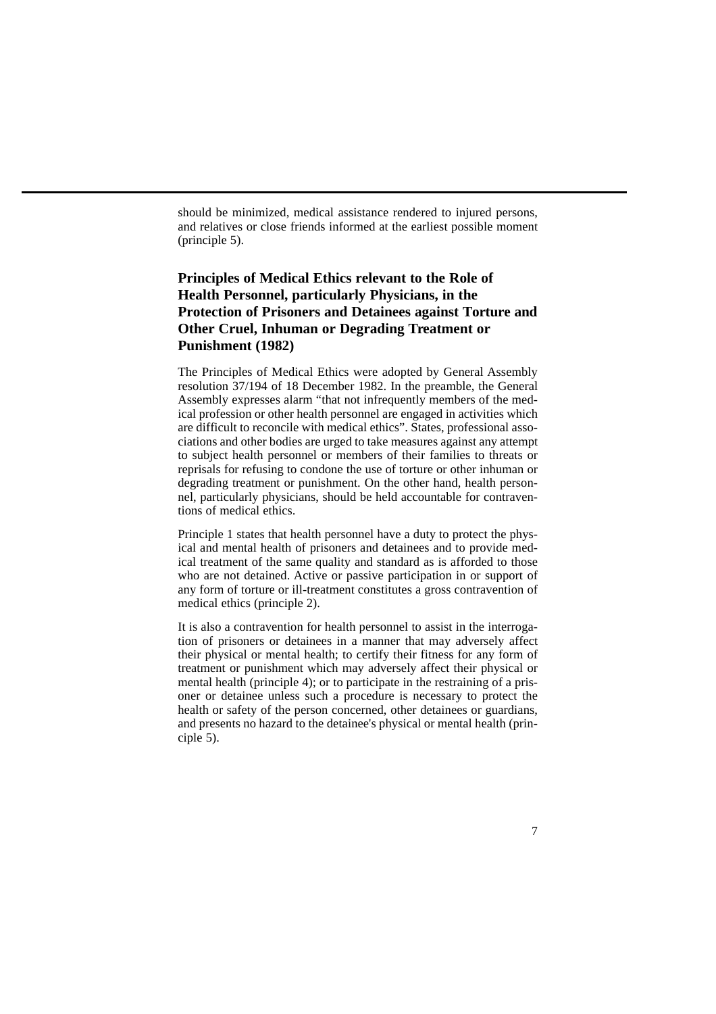should be minimized, medical assistance rendered to injured persons, and relatives or close friends informed at the earliest possible moment (principle 5).

# **Principles of Medical Ethics relevant to the Role of Health Personnel, particularly Physicians, in the Protection of Prisoners and Detainees against Torture and Other Cruel, Inhuman or Degrading Treatment or Punishment (1982)**

The Principles of Medical Ethics were adopted by General Assembly resolution 37/194 of 18 December 1982. In the preamble, the General Assembly expresses alarm "that not infrequently members of the medical profession or other health personnel are engaged in activities which are difficult to reconcile with medical ethics". States, professional associations and other bodies are urged to take measures against any attempt to subject health personnel or members of their families to threats or reprisals for refusing to condone the use of torture or other inhuman or degrading treatment or punishment. On the other hand, health personnel, particularly physicians, should be held accountable for contraventions of medical ethics.

Principle 1 states that health personnel have a duty to protect the physical and mental health of prisoners and detainees and to provide medical treatment of the same quality and standard as is afforded to those who are not detained. Active or passive participation in or support of any form of torture or ill-treatment constitutes a gross contravention of medical ethics (principle 2).

It is also a contravention for health personnel to assist in the interrogation of prisoners or detainees in a manner that may adversely affect their physical or mental health; to certify their fitness for any form of treatment or punishment which may adversely affect their physical or mental health (principle 4); or to participate in the restraining of a prisoner or detainee unless such a procedure is necessary to protect the health or safety of the person concerned, other detainees or guardians, and presents no hazard to the detainee's physical or mental health (principle 5).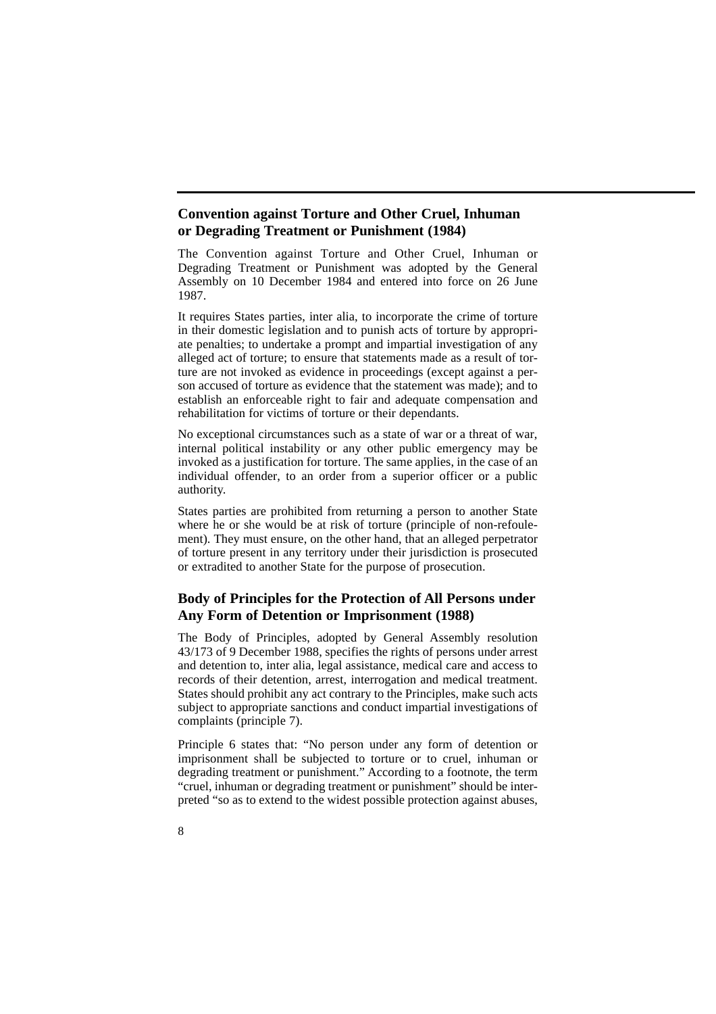## **Convention against Torture and Other Cruel, Inhuman or Degrading Treatment or Punishment (1984)**

The Convention against Torture and Other Cruel, Inhuman or Degrading Treatment or Punishment was adopted by the General Assembly on 10 December 1984 and entered into force on 26 June 1987.

It requires States parties, inter alia, to incorporate the crime of torture in their domestic legislation and to punish acts of torture by appropriate penalties; to undertake a prompt and impartial investigation of any alleged act of torture; to ensure that statements made as a result of torture are not invoked as evidence in proceedings (except against a person accused of torture as evidence that the statement was made); and to establish an enforceable right to fair and adequate compensation and rehabilitation for victims of torture or their dependants.

No exceptional circumstances such as a state of war or a threat of war, internal political instability or any other public emergency may be invoked as a justification for torture. The same applies, in the case of an individual offender, to an order from a superior officer or a public authority.

States parties are prohibited from returning a person to another State where he or she would be at risk of torture (principle of non-refoulement). They must ensure, on the other hand, that an alleged perpetrator of torture present in any territory under their jurisdiction is prosecuted or extradited to another State for the purpose of prosecution.

# **Body of Principles for the Protection of All Persons under Any Form of Detention or Imprisonment (1988)**

The Body of Principles, adopted by General Assembly resolution 43/173 of 9 December 1988, specifies the rights of persons under arrest and detention to, inter alia, legal assistance, medical care and access to records of their detention, arrest, interrogation and medical treatment. States should prohibit any act contrary to the Principles, make such acts subject to appropriate sanctions and conduct impartial investigations of complaints (principle 7).

Principle 6 states that: "No person under any form of detention or imprisonment shall be subjected to torture or to cruel, inhuman or degrading treatment or punishment." According to a footnote, the term "cruel, inhuman or degrading treatment or punishment" should be interpreted "so as to extend to the widest possible protection against abuses,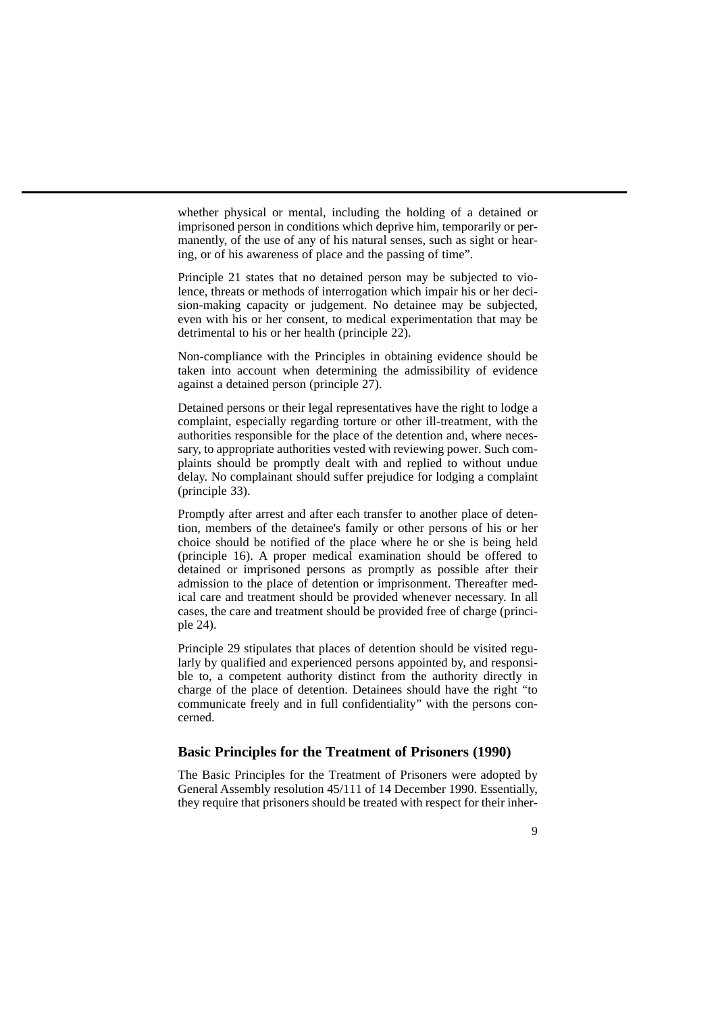whether physical or mental, including the holding of a detained or imprisoned person in conditions which deprive him, temporarily or permanently, of the use of any of his natural senses, such as sight or hearing, or of his awareness of place and the passing of time".

Principle 21 states that no detained person may be subjected to violence, threats or methods of interrogation which impair his or her decision-making capacity or judgement. No detainee may be subjected, even with his or her consent, to medical experimentation that may be detrimental to his or her health (principle 22).

Non-compliance with the Principles in obtaining evidence should be taken into account when determining the admissibility of evidence against a detained person (principle 27).

Detained persons or their legal representatives have the right to lodge a complaint, especially regarding torture or other ill-treatment, with the authorities responsible for the place of the detention and, where necessary, to appropriate authorities vested with reviewing power. Such complaints should be promptly dealt with and replied to without undue delay. No complainant should suffer prejudice for lodging a complaint (principle 33).

Promptly after arrest and after each transfer to another place of detention, members of the detainee's family or other persons of his or her choice should be notified of the place where he or she is being held (principle 16). A proper medical examination should be offered to detained or imprisoned persons as promptly as possible after their admission to the place of detention or imprisonment. Thereafter medical care and treatment should be provided whenever necessary. In all cases, the care and treatment should be provided free of charge (principle 24).

Principle 29 stipulates that places of detention should be visited regularly by qualified and experienced persons appointed by, and responsible to, a competent authority distinct from the authority directly in charge of the place of detention. Detainees should have the right "to communicate freely and in full confidentiality" with the persons concerned.

#### **Basic Principles for the Treatment of Prisoners (1990)**

The Basic Principles for the Treatment of Prisoners were adopted by General Assembly resolution 45/111 of 14 December 1990. Essentially, they require that prisoners should be treated with respect for their inher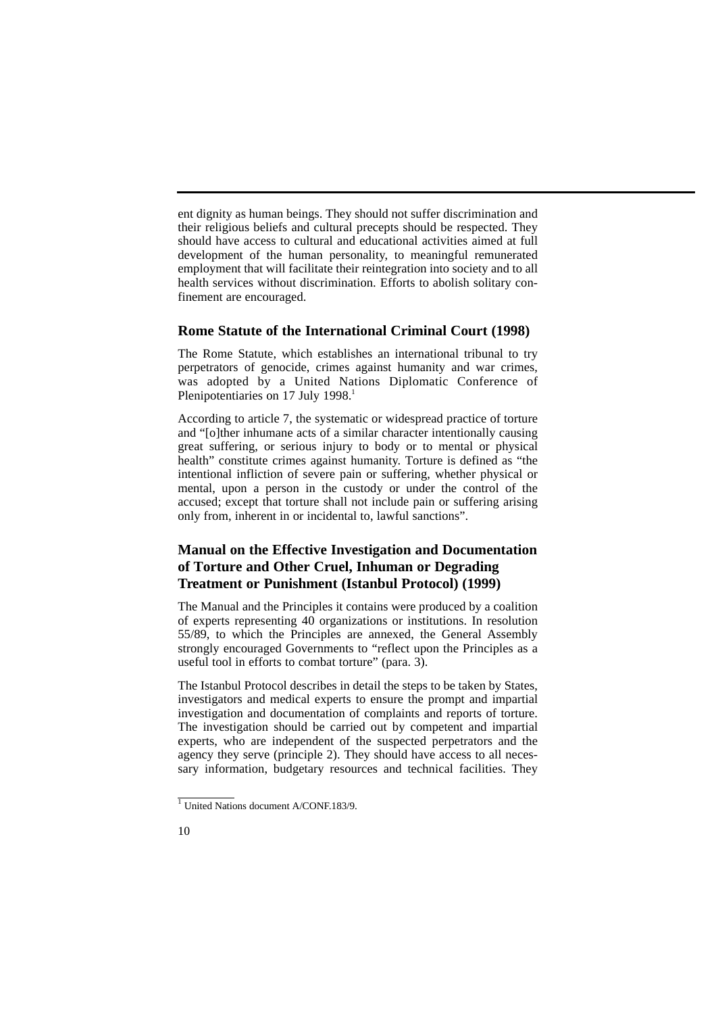ent dignity as human beings. They should not suffer discrimination and their religious beliefs and cultural precepts should be respected. They should have access to cultural and educational activities aimed at full development of the human personality, to meaningful remunerated employment that will facilitate their reintegration into society and to all health services without discrimination. Efforts to abolish solitary confinement are encouraged.

#### **Rome Statute of the International Criminal Court (1998)**

The Rome Statute, which establishes an international tribunal to try perpetrators of genocide, crimes against humanity and war crimes, was adopted by a United Nations Diplomatic Conference of Plenipotentiaries on 17 July 1998.<sup>1</sup>

According to article 7, the systematic or widespread practice of torture and "[o]ther inhumane acts of a similar character intentionally causing great suffering, or serious injury to body or to mental or physical health" constitute crimes against humanity. Torture is defined as "the intentional infliction of severe pain or suffering, whether physical or mental, upon a person in the custody or under the control of the accused; except that torture shall not include pain or suffering arising only from, inherent in or incidental to, lawful sanctions".

# **Manual on the Effective Investigation and Documentation of Torture and Other Cruel, Inhuman or Degrading Treatment or Punishment (Istanbul Protocol) (1999)**

The Manual and the Principles it contains were produced by a coalition of experts representing 40 organizations or institutions. In resolution 55/89, to which the Principles are annexed, the General Assembly strongly encouraged Governments to "reflect upon the Principles as a useful tool in efforts to combat torture" (para. 3).

The Istanbul Protocol describes in detail the steps to be taken by States, investigators and medical experts to ensure the prompt and impartial investigation and documentation of complaints and reports of torture. The investigation should be carried out by competent and impartial experts, who are independent of the suspected perpetrators and the agency they serve (principle 2). They should have access to all necessary information, budgetary resources and technical facilities. They

 $\frac{1}{1}$  United Nations document A/CONF.183/9.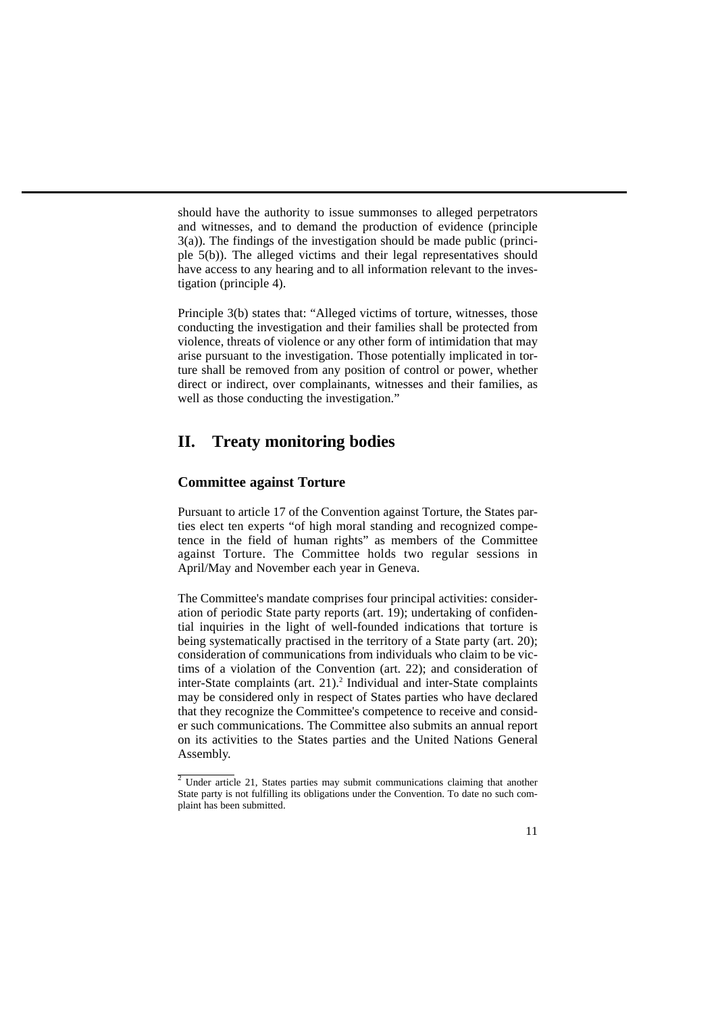should have the authority to issue summonses to alleged perpetrators and witnesses, and to demand the production of evidence (principle 3(a)). The findings of the investigation should be made public (principle 5(b)). The alleged victims and their legal representatives should have access to any hearing and to all information relevant to the investigation (principle 4).

Principle 3(b) states that: "Alleged victims of torture, witnesses, those conducting the investigation and their families shall be protected from violence, threats of violence or any other form of intimidation that may arise pursuant to the investigation. Those potentially implicated in torture shall be removed from any position of control or power, whether direct or indirect, over complainants, witnesses and their families, as well as those conducting the investigation."

# **II. Treaty monitoring bodies**

#### **Committee against Torture**

Pursuant to article 17 of the Convention against Torture, the States parties elect ten experts "of high moral standing and recognized competence in the field of human rights" as members of the Committee against Torture. The Committee holds two regular sessions in April/May and November each year in Geneva.

The Committee's mandate comprises four principal activities: consideration of periodic State party reports (art. 19); undertaking of confidential inquiries in the light of well-founded indications that torture is being systematically practised in the territory of a State party (art. 20); consideration of communications from individuals who claim to be victims of a violation of the Convention (art. 22); and consideration of inter-State complaints (art. 21). $^2$  Individual and inter-State complaints may be considered only in respect of States parties who have declared that they recognize the Committee's competence to receive and consider such communications. The Committee also submits an annual report on its activities to the States parties and the United Nations General Assembly.

 $\frac{2}{1}$  Under article 21, States parties may submit communications claiming that another State party is not fulfilling its obligations under the Convention. To date no such complaint has been submitted.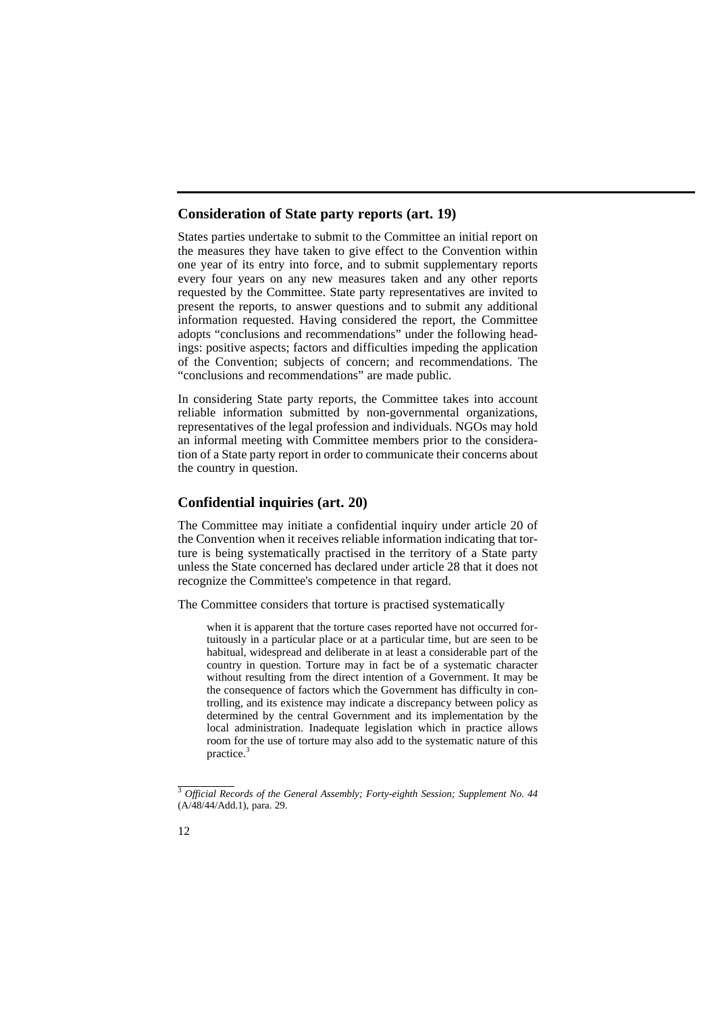#### **Consideration of State party reports (art. 19)**

States parties undertake to submit to the Committee an initial report on the measures they have taken to give effect to the Convention within one year of its entry into force, and to submit supplementary reports every four years on any new measures taken and any other reports requested by the Committee. State party representatives are invited to present the reports, to answer questions and to submit any additional information requested. Having considered the report, the Committee adopts "conclusions and recommendations" under the following headings: positive aspects; factors and difficulties impeding the application of the Convention; subjects of concern; and recommendations. The "conclusions and recommendations" are made public.

In considering State party reports, the Committee takes into account reliable information submitted by non-governmental organizations, representatives of the legal profession and individuals. NGOs may hold an informal meeting with Committee members prior to the consideration of a State party report in order to communicate their concerns about the country in question.

#### **Confidential inquiries (art. 20)**

The Committee may initiate a confidential inquiry under article 20 of the Convention when it receives reliable information indicating that torture is being systematically practised in the territory of a State party unless the State concerned has declared under article 28 that it does not recognize the Committee's competence in that regard.

The Committee considers that torture is practised systematically

when it is apparent that the torture cases reported have not occurred fortuitously in a particular place or at a particular time, but are seen to be habitual, widespread and deliberate in at least a considerable part of the country in question. Torture may in fact be of a systematic character without resulting from the direct intention of a Government. It may be the consequence of factors which the Government has difficulty in controlling, and its existence may indicate a discrepancy between policy as determined by the central Government and its implementation by the local administration. Inadequate legislation which in practice allows room for the use of torture may also add to the systematic nature of this practice.<sup>3</sup>

<sup>3</sup> *Official Records of the General Assembly; Forty-eighth Session; Supplement No. 44* (A/48/44/Add.1), para. 29.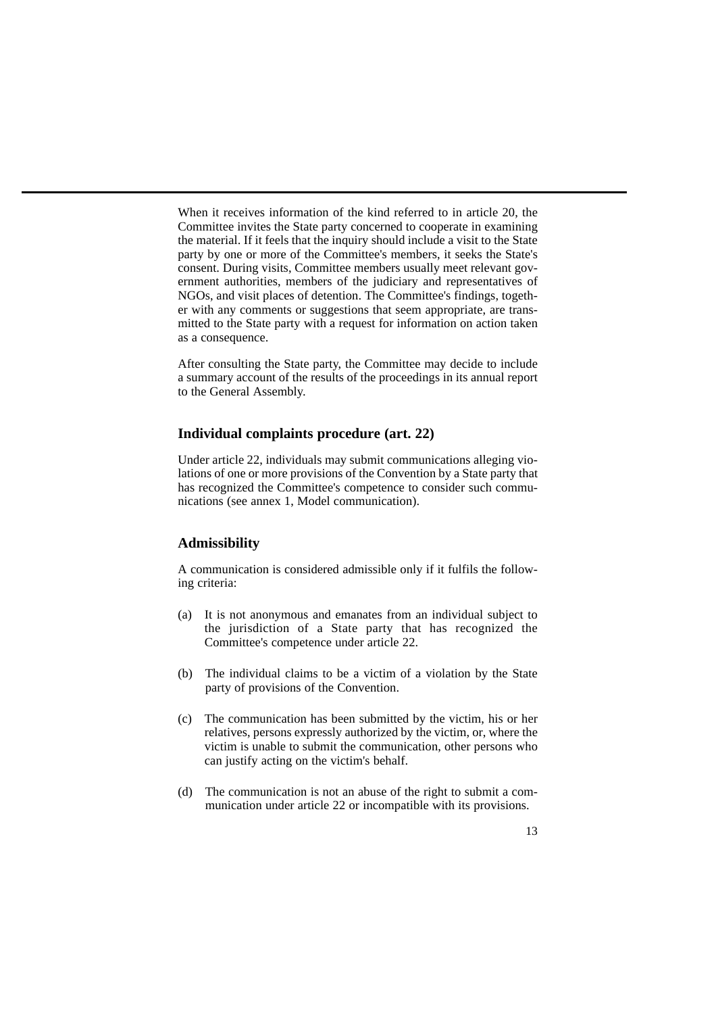When it receives information of the kind referred to in article 20, the Committee invites the State party concerned to cooperate in examining the material. If it feels that the inquiry should include a visit to the State party by one or more of the Committee's members, it seeks the State's consent. During visits, Committee members usually meet relevant government authorities, members of the judiciary and representatives of NGOs, and visit places of detention. The Committee's findings, together with any comments or suggestions that seem appropriate, are transmitted to the State party with a request for information on action taken as a consequence.

After consulting the State party, the Committee may decide to include a summary account of the results of the proceedings in its annual report to the General Assembly.

## **Individual complaints procedure (art. 22)**

Under article 22, individuals may submit communications alleging violations of one or more provisions of the Convention by a State party that has recognized the Committee's competence to consider such communications (see annex 1, Model communication).

#### **Admissibility**

A communication is considered admissible only if it fulfils the following criteria:

- (a) It is not anonymous and emanates from an individual subject to the jurisdiction of a State party that has recognized the Committee's competence under article 22.
- (b) The individual claims to be a victim of a violation by the State party of provisions of the Convention.
- (c) The communication has been submitted by the victim, his or her relatives, persons expressly authorized by the victim, or, where the victim is unable to submit the communication, other persons who can justify acting on the victim's behalf.
- (d) The communication is not an abuse of the right to submit a communication under article 22 or incompatible with its provisions.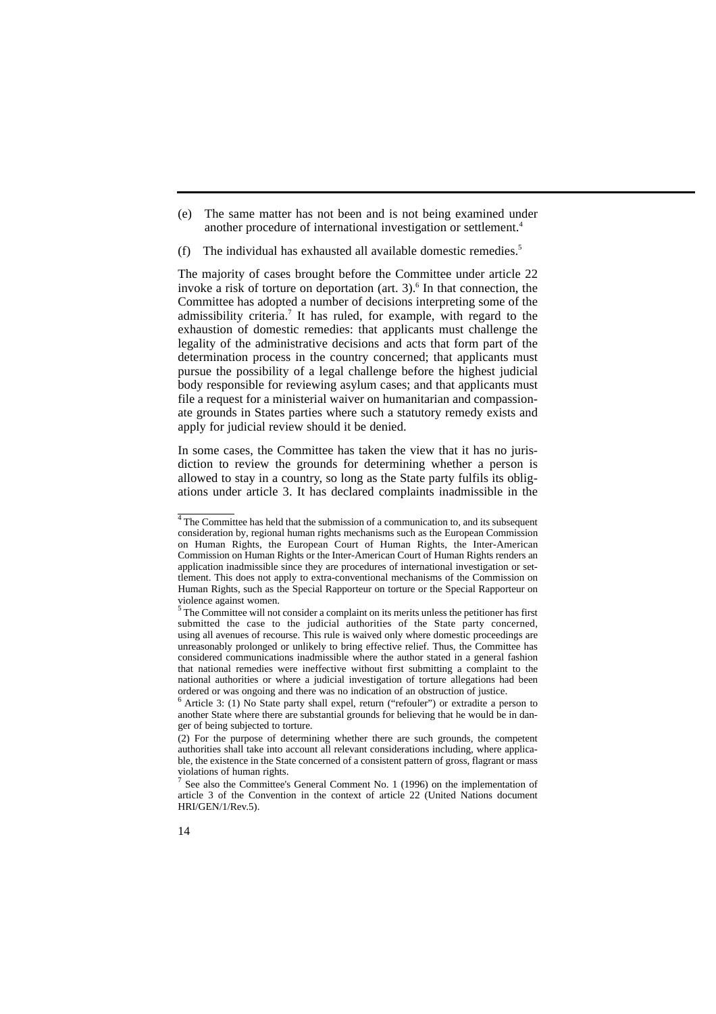- (e) The same matter has not been and is not being examined under another procedure of international investigation or settlement.<sup>4</sup>
- (f) The individual has exhausted all available domestic remedies.<sup>5</sup>

The majority of cases brought before the Committee under article 22 invoke a risk of torture on deportation (art.  $3$ ).<sup>6</sup> In that connection, the Committee has adopted a number of decisions interpreting some of the admissibility criteria.<sup>7</sup> It has ruled, for example, with regard to the exhaustion of domestic remedies: that applicants must challenge the legality of the administrative decisions and acts that form part of the determination process in the country concerned; that applicants must pursue the possibility of a legal challenge before the highest judicial body responsible for reviewing asylum cases; and that applicants must file a request for a ministerial waiver on humanitarian and compassionate grounds in States parties where such a statutory remedy exists and apply for judicial review should it be denied.

In some cases, the Committee has taken the view that it has no jurisdiction to review the grounds for determining whether a person is allowed to stay in a country, so long as the State party fulfils its obligations under article 3. It has declared complaints inadmissible in the

<sup>&</sup>lt;sup>4</sup> The Committee has held that the submission of a communication to, and its subsequent consideration by, regional human rights mechanisms such as the European Commission on Human Rights, the European Court of Human Rights, the Inter-American Commission on Human Rights or the Inter-American Court of Human Rights renders an application inadmissible since they are procedures of international investigation or settlement. This does not apply to extra-conventional mechanisms of the Commission on Human Rights, such as the Special Rapporteur on torture or the Special Rapporteur on violence against women.

 $5$  The Committee will not consider a complaint on its merits unless the petitioner has first submitted the case to the judicial authorities of the State party concerned, using all avenues of recourse. This rule is waived only where domestic proceedings are unreasonably prolonged or unlikely to bring effective relief. Thus, the Committee has considered communications inadmissible where the author stated in a general fashion that national remedies were ineffective without first submitting a complaint to the national authorities or where a judicial investigation of torture allegations had been ordered or was ongoing and there was no indication of an obstruction of justice.<br>  $\frac{6}{4}$  A ci 1.0.2. The same of  $\frac{6}{4}$  and there was no indication of an obstruction of justice.

<sup>6</sup> Article 3: (1) No State party shall expel, return ("refouler") or extradite a person to another State where there are substantial grounds for believing that he would be in danger of being subjected to torture.

<sup>(2)</sup> For the purpose of determining whether there are such grounds, the competent authorities shall take into account all relevant considerations including, where applicable, the existence in the State concerned of a consistent pattern of gross, flagrant or mass violations of human rights.<br> $7 \text{ S}$ 

See also the Committee's General Comment No. 1 (1996) on the implementation of article 3 of the Convention in the context of article 22 (United Nations document HRI/GEN/1/Rev.5).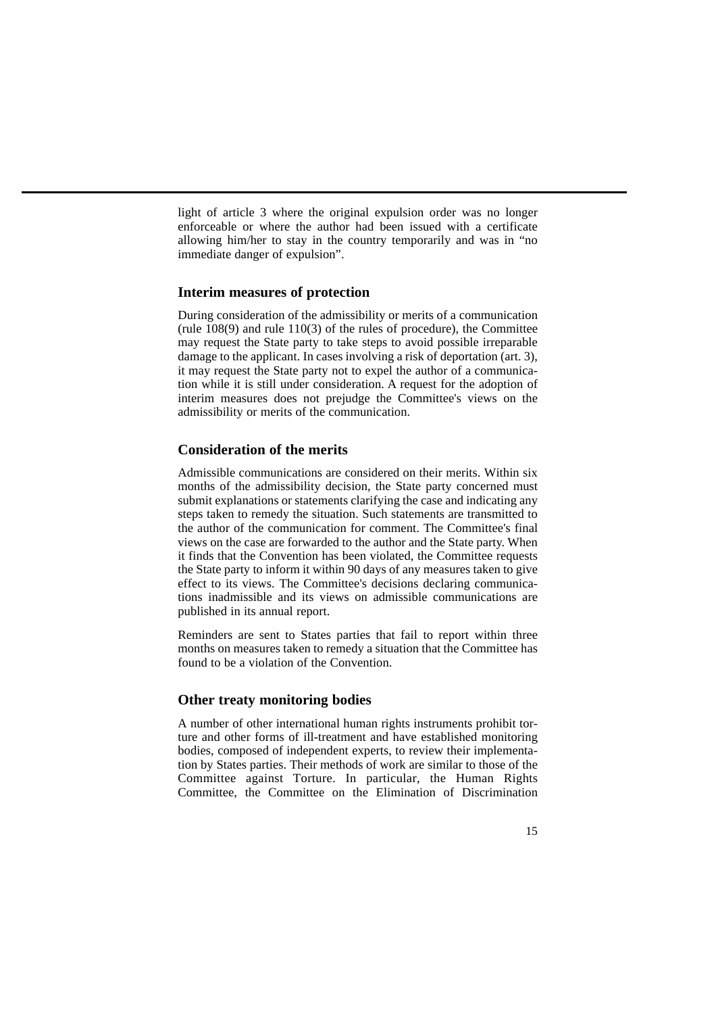light of article 3 where the original expulsion order was no longer enforceable or where the author had been issued with a certificate allowing him/her to stay in the country temporarily and was in "no immediate danger of expulsion".

## **Interim measures of protection**

During consideration of the admissibility or merits of a communication (rule 108(9) and rule 110(3) of the rules of procedure), the Committee may request the State party to take steps to avoid possible irreparable damage to the applicant. In cases involving a risk of deportation (art. 3), it may request the State party not to expel the author of a communication while it is still under consideration. A request for the adoption of interim measures does not prejudge the Committee's views on the admissibility or merits of the communication.

#### **Consideration of the merits**

Admissible communications are considered on their merits. Within six months of the admissibility decision, the State party concerned must submit explanations or statements clarifying the case and indicating any steps taken to remedy the situation. Such statements are transmitted to the author of the communication for comment. The Committee's final views on the case are forwarded to the author and the State party. When it finds that the Convention has been violated, the Committee requests the State party to inform it within 90 days of any measures taken to give effect to its views. The Committee's decisions declaring communications inadmissible and its views on admissible communications are published in its annual report.

Reminders are sent to States parties that fail to report within three months on measures taken to remedy a situation that the Committee has found to be a violation of the Convention.

#### **Other treaty monitoring bodies**

A number of other international human rights instruments prohibit torture and other forms of ill-treatment and have established monitoring bodies, composed of independent experts, to review their implementation by States parties. Their methods of work are similar to those of the Committee against Torture. In particular, the Human Rights Committee, the Committee on the Elimination of Discrimination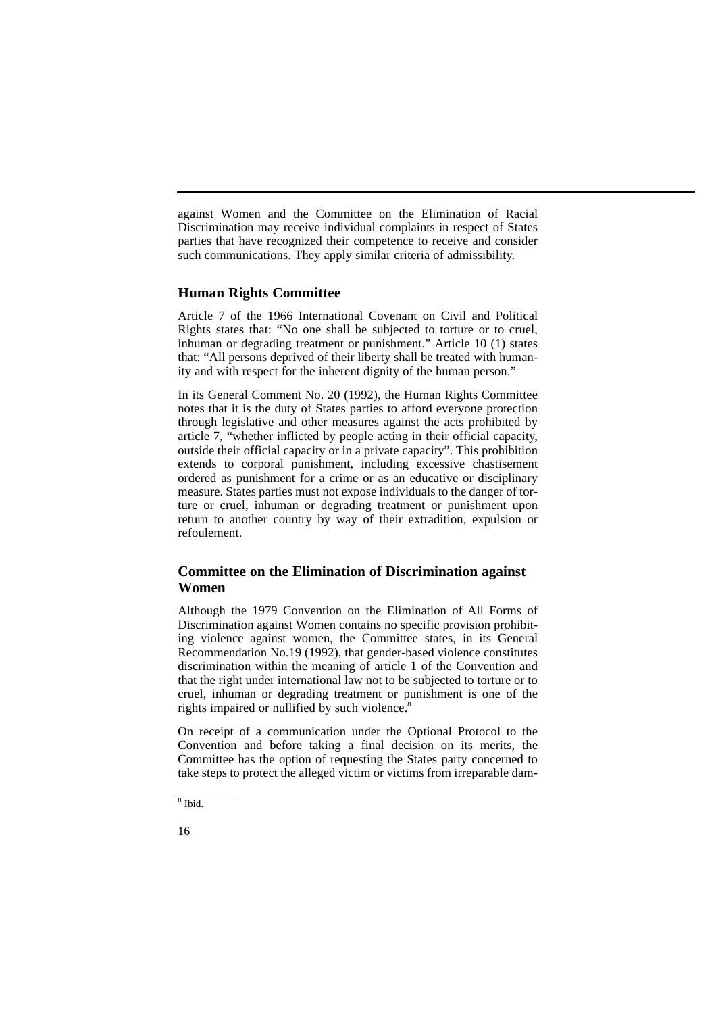against Women and the Committee on the Elimination of Racial Discrimination may receive individual complaints in respect of States parties that have recognized their competence to receive and consider such communications. They apply similar criteria of admissibility.

#### **Human Rights Committee**

Article 7 of the 1966 International Covenant on Civil and Political Rights states that: "No one shall be subjected to torture or to cruel, inhuman or degrading treatment or punishment." Article 10 (1) states that: "All persons deprived of their liberty shall be treated with humanity and with respect for the inherent dignity of the human person."

In its General Comment No. 20 (1992), the Human Rights Committee notes that it is the duty of States parties to afford everyone protection through legislative and other measures against the acts prohibited by article 7, "whether inflicted by people acting in their official capacity, outside their official capacity or in a private capacity". This prohibition extends to corporal punishment, including excessive chastisement ordered as punishment for a crime or as an educative or disciplinary measure. States parties must not expose individuals to the danger of torture or cruel, inhuman or degrading treatment or punishment upon return to another country by way of their extradition, expulsion or refoulement.

## **Committee on the Elimination of Discrimination against Women**

Although the 1979 Convention on the Elimination of All Forms of Discrimination against Women contains no specific provision prohibiting violence against women, the Committee states, in its General Recommendation No.19 (1992), that gender-based violence constitutes discrimination within the meaning of article 1 of the Convention and that the right under international law not to be subjected to torture or to cruel, inhuman or degrading treatment or punishment is one of the rights impaired or nullified by such violence.<sup>8</sup>

On receipt of a communication under the Optional Protocol to the Convention and before taking a final decision on its merits, the Committee has the option of requesting the States party concerned to take steps to protect the alleged victim or victims from irreparable dam-

<sup>8</sup> Ibid.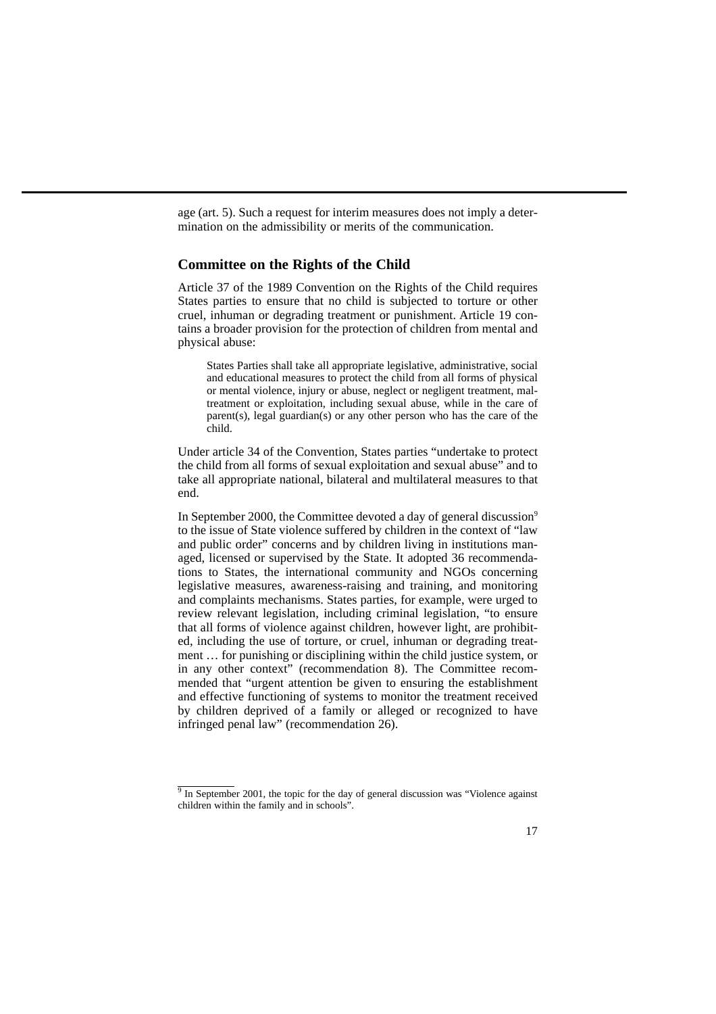age (art. 5). Such a request for interim measures does not imply a determination on the admissibility or merits of the communication.

## **Committee on the Rights of the Child**

Article 37 of the 1989 Convention on the Rights of the Child requires States parties to ensure that no child is subjected to torture or other cruel, inhuman or degrading treatment or punishment. Article 19 contains a broader provision for the protection of children from mental and physical abuse:

States Parties shall take all appropriate legislative, administrative, social and educational measures to protect the child from all forms of physical or mental violence, injury or abuse, neglect or negligent treatment, maltreatment or exploitation, including sexual abuse, while in the care of parent(s), legal guardian(s) or any other person who has the care of the child.

Under article 34 of the Convention, States parties "undertake to protect the child from all forms of sexual exploitation and sexual abuse" and to take all appropriate national, bilateral and multilateral measures to that end.

In September 2000, the Committee devoted a day of general discussion<sup>9</sup> to the issue of State violence suffered by children in the context of "law and public order" concerns and by children living in institutions managed, licensed or supervised by the State. It adopted 36 recommendations to States, the international community and NGOs concerning legislative measures, awareness-raising and training, and monitoring and complaints mechanisms. States parties, for example, were urged to review relevant legislation, including criminal legislation, "to ensure that all forms of violence against children, however light, are prohibited, including the use of torture, or cruel, inhuman or degrading treatment … for punishing or disciplining within the child justice system, or in any other context" (recommendation 8). The Committee recommended that "urgent attention be given to ensuring the establishment and effective functioning of systems to monitor the treatment received by children deprived of a family or alleged or recognized to have infringed penal law" (recommendation 26).

 $9 \text{ In September } 2001$ , the topic for the day of general discussion was "Violence against children within the family and in schools".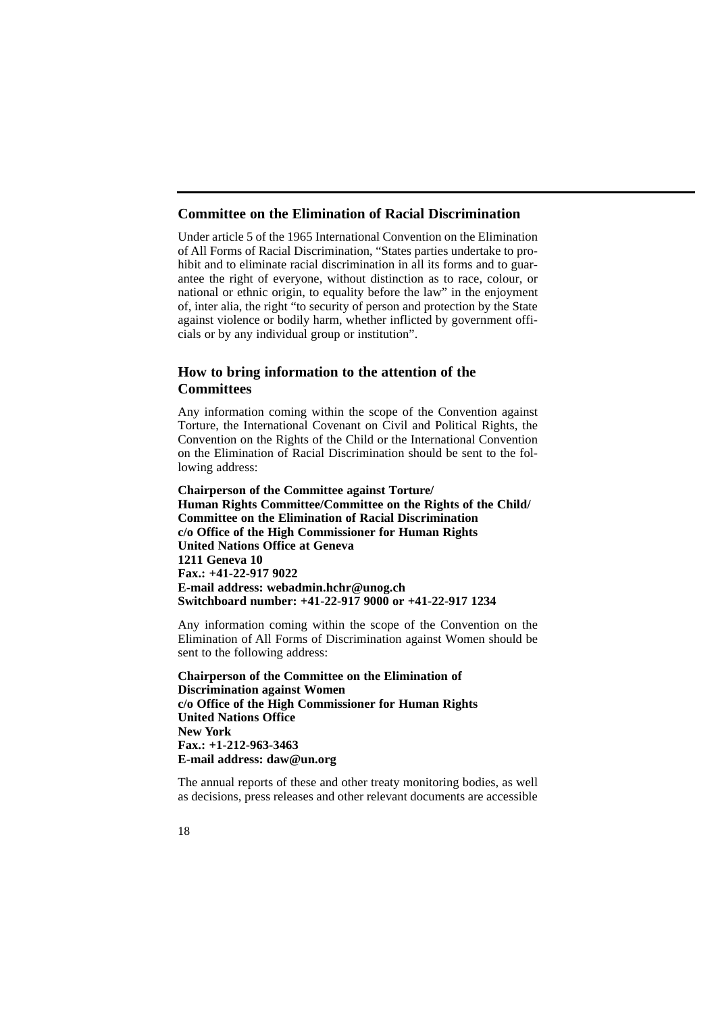#### **Committee on the Elimination of Racial Discrimination**

Under article 5 of the 1965 International Convention on the Elimination of All Forms of Racial Discrimination, "States parties undertake to prohibit and to eliminate racial discrimination in all its forms and to guarantee the right of everyone, without distinction as to race, colour, or national or ethnic origin, to equality before the law" in the enjoyment of, inter alia, the right "to security of person and protection by the State against violence or bodily harm, whether inflicted by government officials or by any individual group or institution".

## **How to bring information to the attention of the Committees**

Any information coming within the scope of the Convention against Torture, the International Covenant on Civil and Political Rights, the Convention on the Rights of the Child or the International Convention on the Elimination of Racial Discrimination should be sent to the following address:

**Chairperson of the Committee against Torture/ Human Rights Committee/Committee on the Rights of the Child/ Committee on the Elimination of Racial Discrimination c/o Office of the High Commissioner for Human Rights United Nations Office at Geneva 1211 Geneva 10 Fax.: +41-22-917 9022 E-mail address: webadmin.hchr@unog.ch Switchboard number: +41-22-917 9000 or +41-22-917 1234** 

Any information coming within the scope of the Convention on the Elimination of All Forms of Discrimination against Women should be sent to the following address:

**Chairperson of the Committee on the Elimination of Discrimination against Women c/o Office of the High Commissioner for Human Rights United Nations Office New York Fax.: +1-212-963-3463 E-mail address: daw@un.org**

The annual reports of these and other treaty monitoring bodies, as well as decisions, press releases and other relevant documents are accessible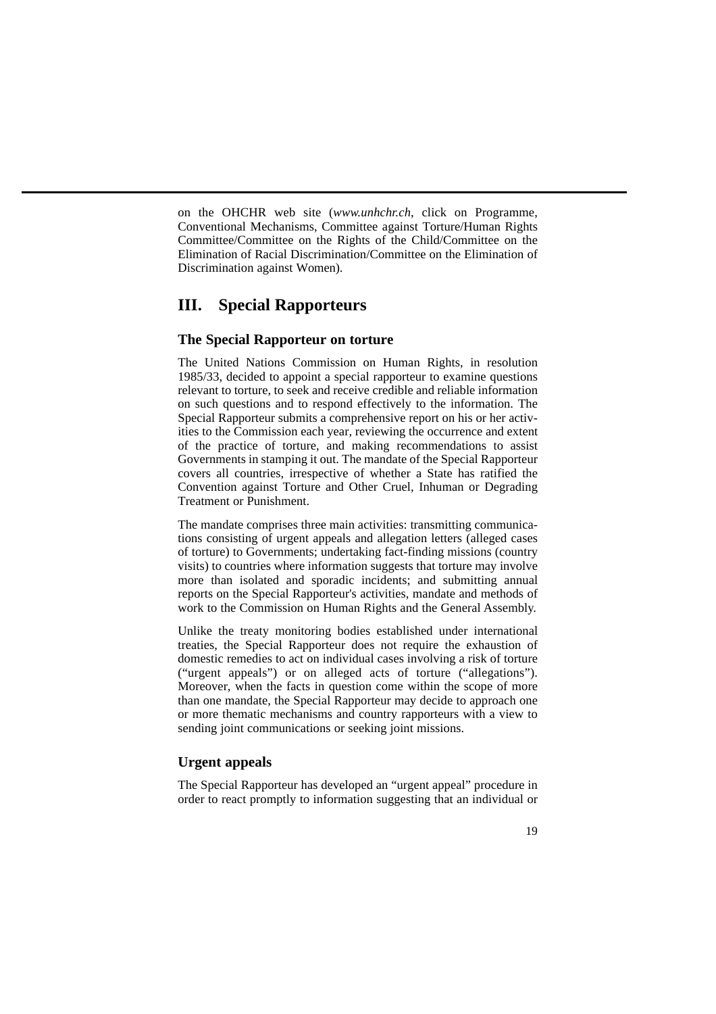on the OHCHR web site (*www.unhchr.ch*, click on Programme, Conventional Mechanisms, Committee against Torture/Human Rights Committee/Committee on the Rights of the Child/Committee on the Elimination of Racial Discrimination/Committee on the Elimination of Discrimination against Women).

# **III. Special Rapporteurs**

## **The Special Rapporteur on torture**

The United Nations Commission on Human Rights, in resolution 1985/33, decided to appoint a special rapporteur to examine questions relevant to torture, to seek and receive credible and reliable information on such questions and to respond effectively to the information. The Special Rapporteur submits a comprehensive report on his or her activities to the Commission each year, reviewing the occurrence and extent of the practice of torture, and making recommendations to assist Governments in stamping it out. The mandate of the Special Rapporteur covers all countries, irrespective of whether a State has ratified the Convention against Torture and Other Cruel, Inhuman or Degrading Treatment or Punishment.

The mandate comprises three main activities: transmitting communications consisting of urgent appeals and allegation letters (alleged cases of torture) to Governments; undertaking fact-finding missions (country visits) to countries where information suggests that torture may involve more than isolated and sporadic incidents; and submitting annual reports on the Special Rapporteur's activities, mandate and methods of work to the Commission on Human Rights and the General Assembly.

Unlike the treaty monitoring bodies established under international treaties, the Special Rapporteur does not require the exhaustion of domestic remedies to act on individual cases involving a risk of torture ("urgent appeals") or on alleged acts of torture ("allegations"). Moreover, when the facts in question come within the scope of more than one mandate, the Special Rapporteur may decide to approach one or more thematic mechanisms and country rapporteurs with a view to sending joint communications or seeking joint missions.

#### **Urgent appeals**

The Special Rapporteur has developed an "urgent appeal" procedure in order to react promptly to information suggesting that an individual or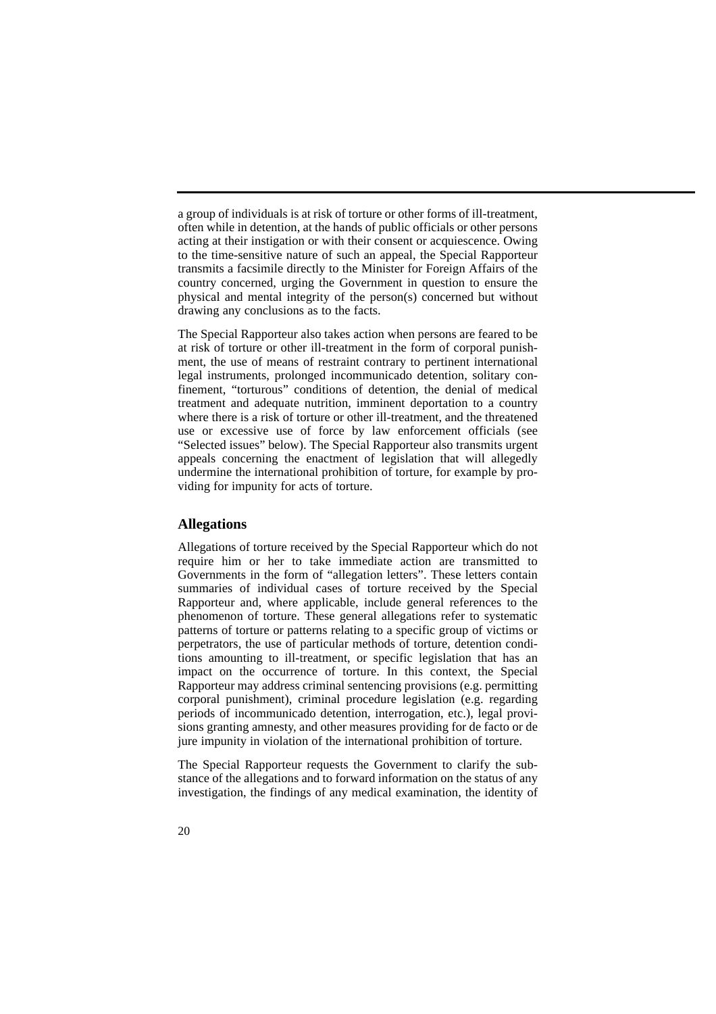a group of individuals is at risk of torture or other forms of ill-treatment, often while in detention, at the hands of public officials or other persons acting at their instigation or with their consent or acquiescence. Owing to the time-sensitive nature of such an appeal, the Special Rapporteur transmits a facsimile directly to the Minister for Foreign Affairs of the country concerned, urging the Government in question to ensure the physical and mental integrity of the person(s) concerned but without drawing any conclusions as to the facts.

The Special Rapporteur also takes action when persons are feared to be at risk of torture or other ill-treatment in the form of corporal punishment, the use of means of restraint contrary to pertinent international legal instruments, prolonged incommunicado detention, solitary confinement, "torturous" conditions of detention, the denial of medical treatment and adequate nutrition, imminent deportation to a country where there is a risk of torture or other ill-treatment, and the threatened use or excessive use of force by law enforcement officials (see "Selected issues" below). The Special Rapporteur also transmits urgent appeals concerning the enactment of legislation that will allegedly undermine the international prohibition of torture, for example by providing for impunity for acts of torture.

## **Allegations**

Allegations of torture received by the Special Rapporteur which do not require him or her to take immediate action are transmitted to Governments in the form of "allegation letters". These letters contain summaries of individual cases of torture received by the Special Rapporteur and, where applicable, include general references to the phenomenon of torture. These general allegations refer to systematic patterns of torture or patterns relating to a specific group of victims or perpetrators, the use of particular methods of torture, detention conditions amounting to ill-treatment, or specific legislation that has an impact on the occurrence of torture. In this context, the Special Rapporteur may address criminal sentencing provisions (e.g. permitting corporal punishment), criminal procedure legislation (e.g. regarding periods of incommunicado detention, interrogation, etc.), legal provisions granting amnesty, and other measures providing for de facto or de jure impunity in violation of the international prohibition of torture.

The Special Rapporteur requests the Government to clarify the substance of the allegations and to forward information on the status of any investigation, the findings of any medical examination, the identity of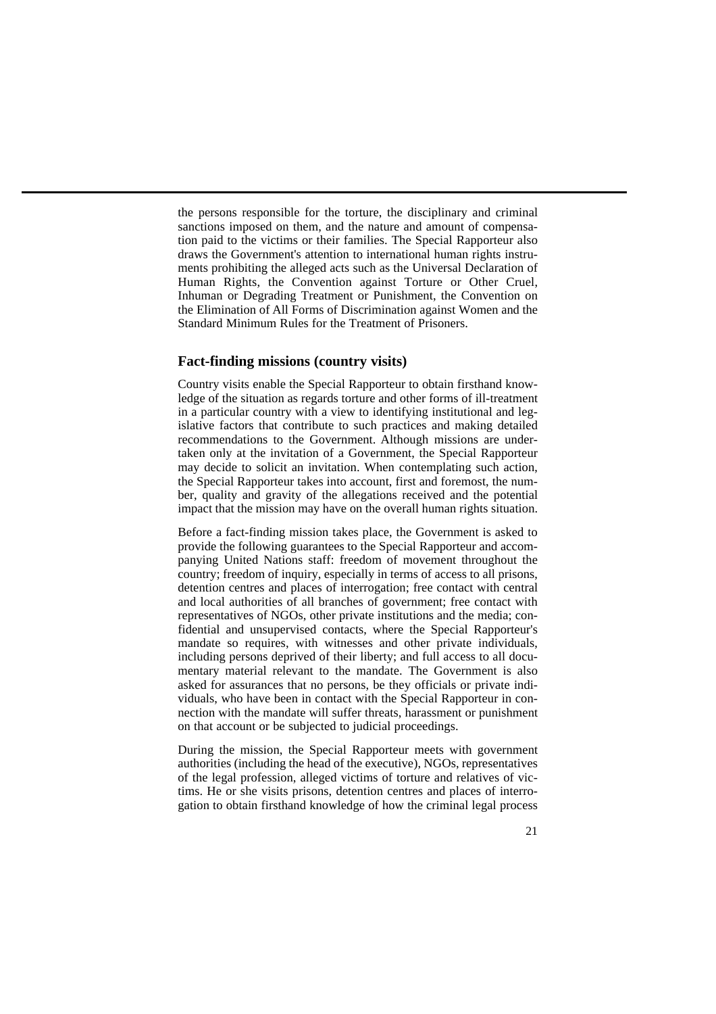the persons responsible for the torture, the disciplinary and criminal sanctions imposed on them, and the nature and amount of compensation paid to the victims or their families. The Special Rapporteur also draws the Government's attention to international human rights instruments prohibiting the alleged acts such as the Universal Declaration of Human Rights, the Convention against Torture or Other Cruel, Inhuman or Degrading Treatment or Punishment, the Convention on the Elimination of All Forms of Discrimination against Women and the Standard Minimum Rules for the Treatment of Prisoners.

## **Fact-finding missions (country visits)**

Country visits enable the Special Rapporteur to obtain firsthand knowledge of the situation as regards torture and other forms of ill-treatment in a particular country with a view to identifying institutional and legislative factors that contribute to such practices and making detailed recommendations to the Government. Although missions are undertaken only at the invitation of a Government, the Special Rapporteur may decide to solicit an invitation. When contemplating such action, the Special Rapporteur takes into account, first and foremost, the number, quality and gravity of the allegations received and the potential impact that the mission may have on the overall human rights situation.

Before a fact-finding mission takes place, the Government is asked to provide the following guarantees to the Special Rapporteur and accompanying United Nations staff: freedom of movement throughout the country; freedom of inquiry, especially in terms of access to all prisons, detention centres and places of interrogation; free contact with central and local authorities of all branches of government; free contact with representatives of NGOs, other private institutions and the media; confidential and unsupervised contacts, where the Special Rapporteur's mandate so requires, with witnesses and other private individuals, including persons deprived of their liberty; and full access to all documentary material relevant to the mandate. The Government is also asked for assurances that no persons, be they officials or private individuals, who have been in contact with the Special Rapporteur in connection with the mandate will suffer threats, harassment or punishment on that account or be subjected to judicial proceedings.

During the mission, the Special Rapporteur meets with government authorities (including the head of the executive), NGOs, representatives of the legal profession, alleged victims of torture and relatives of victims. He or she visits prisons, detention centres and places of interrogation to obtain firsthand knowledge of how the criminal legal process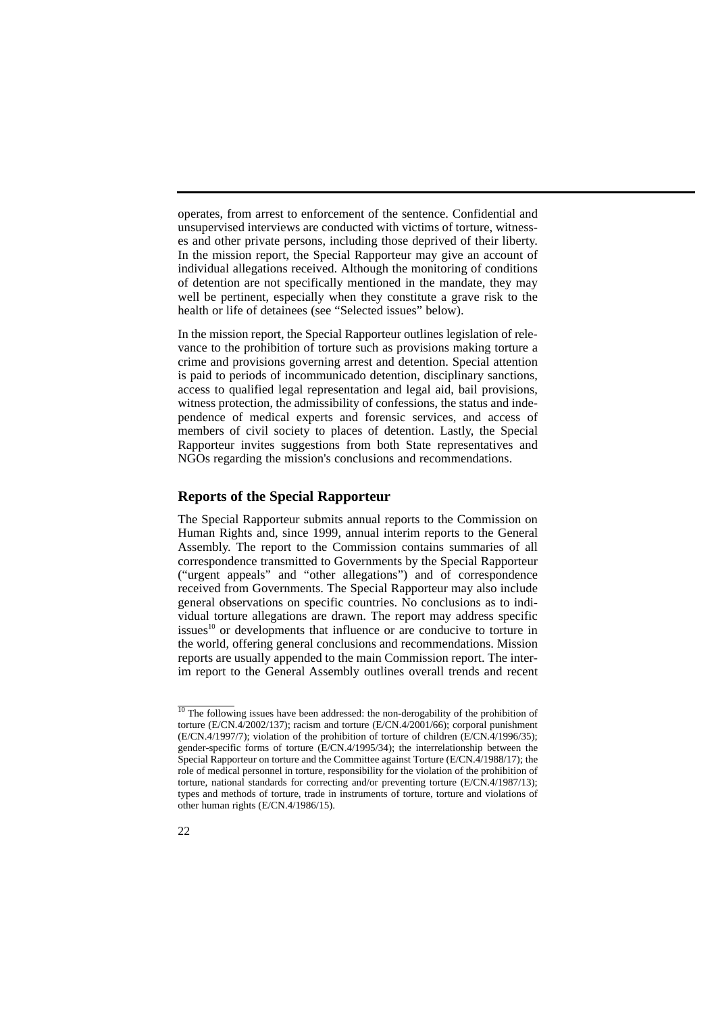operates, from arrest to enforcement of the sentence. Confidential and unsupervised interviews are conducted with victims of torture, witnesses and other private persons, including those deprived of their liberty. In the mission report, the Special Rapporteur may give an account of individual allegations received. Although the monitoring of conditions of detention are not specifically mentioned in the mandate, they may well be pertinent, especially when they constitute a grave risk to the health or life of detainees (see "Selected issues" below).

In the mission report, the Special Rapporteur outlines legislation of relevance to the prohibition of torture such as provisions making torture a crime and provisions governing arrest and detention. Special attention is paid to periods of incommunicado detention, disciplinary sanctions, access to qualified legal representation and legal aid, bail provisions, witness protection, the admissibility of confessions, the status and independence of medical experts and forensic services, and access of members of civil society to places of detention. Lastly, the Special Rapporteur invites suggestions from both State representatives and NGOs regarding the mission's conclusions and recommendations.

## **Reports of the Special Rapporteur**

The Special Rapporteur submits annual reports to the Commission on Human Rights and, since 1999, annual interim reports to the General Assembly. The report to the Commission contains summaries of all correspondence transmitted to Governments by the Special Rapporteur ("urgent appeals" and "other allegations") and of correspondence received from Governments. The Special Rapporteur may also include general observations on specific countries. No conclusions as to individual torture allegations are drawn. The report may address specific issues<sup>10</sup> or developments that influence or are conducive to torture in the world, offering general conclusions and recommendations. Mission reports are usually appended to the main Commission report. The interim report to the General Assembly outlines overall trends and recent

 $\frac{10}{10}$  The following issues have been addressed: the non-derogability of the prohibition of torture (E/CN.4/2002/137); racism and torture (E/CN.4/2001/66); corporal punishment (E/CN.4/1997/7); violation of the prohibition of torture of children (E/CN.4/1996/35); gender-specific forms of torture (E/CN.4/1995/34); the interrelationship between the Special Rapporteur on torture and the Committee against Torture (E/CN.4/1988/17); the role of medical personnel in torture, responsibility for the violation of the prohibition of torture, national standards for correcting and/or preventing torture (E/CN.4/1987/13); types and methods of torture, trade in instruments of torture, torture and violations of other human rights (E/CN.4/1986/15).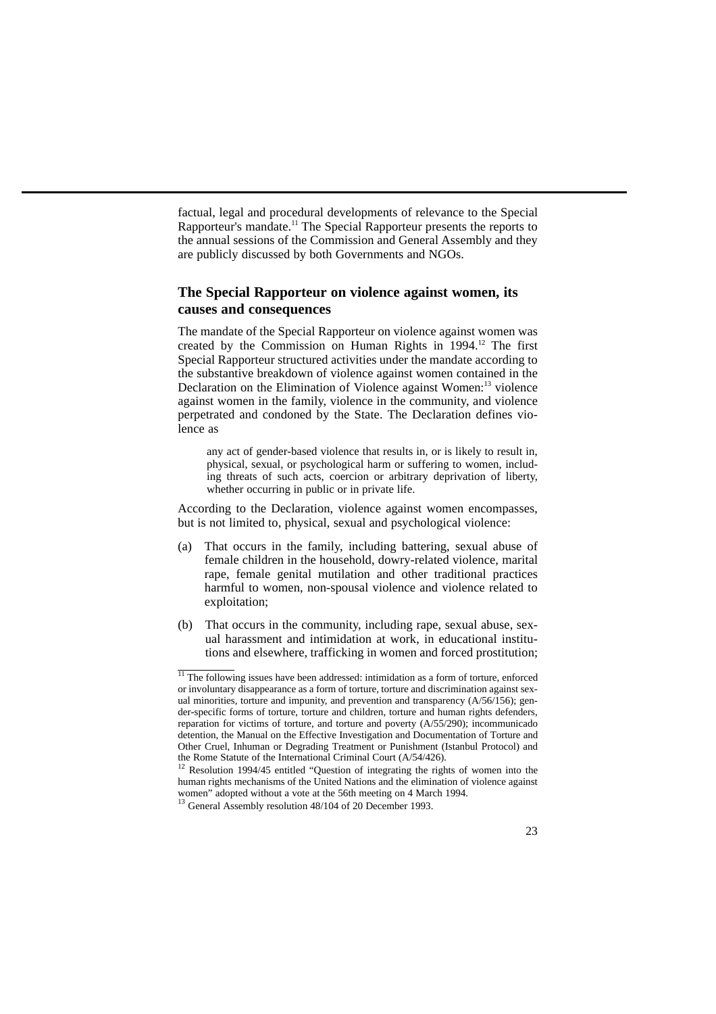factual, legal and procedural developments of relevance to the Special Rapporteur's mandate.<sup>11</sup> The Special Rapporteur presents the reports to the annual sessions of the Commission and General Assembly and they are publicly discussed by both Governments and NGOs.

## **The Special Rapporteur on violence against women, its causes and consequences**

The mandate of the Special Rapporteur on violence against women was created by the Commission on Human Rights in 1994.<sup>12</sup> The first Special Rapporteur structured activities under the mandate according to the substantive breakdown of violence against women contained in the Declaration on the Elimination of Violence against Women:<sup>13</sup> violence against women in the family, violence in the community, and violence perpetrated and condoned by the State. The Declaration defines violence as

any act of gender-based violence that results in, or is likely to result in, physical, sexual, or psychological harm or suffering to women, including threats of such acts, coercion or arbitrary deprivation of liberty, whether occurring in public or in private life.

According to the Declaration, violence against women encompasses, but is not limited to, physical, sexual and psychological violence:

- (a) That occurs in the family, including battering, sexual abuse of female children in the household, dowry-related violence, marital rape, female genital mutilation and other traditional practices harmful to women, non-spousal violence and violence related to exploitation;
- (b) That occurs in the community, including rape, sexual abuse, sexual harassment and intimidation at work, in educational institutions and elsewhere, trafficking in women and forced prostitution;

 $\frac{11}{11}$  The following issues have been addressed: intimidation as a form of torture, enforced or involuntary disappearance as a form of torture, torture and discrimination against sexual minorities, torture and impunity, and prevention and transparency (A/56/156); gender-specific forms of torture, torture and children, torture and human rights defenders, reparation for victims of torture, and torture and poverty (A/55/290); incommunicado detention, the Manual on the Effective Investigation and Documentation of Torture and Other Cruel, Inhuman or Degrading Treatment or Punishment (Istanbul Protocol) and the Rome Statute of the International Criminal Court (A/54/426).

<sup>&</sup>lt;sup>12</sup> Resolution 1994/45 entitled "Question of integrating the rights of women into the human rights mechanisms of the United Nations and the elimination of violence against women" adopted without a vote at the 56th meeting on 4 March 1994.

<sup>&</sup>lt;sup>13</sup> General Assembly resolution 48/104 of 20 December 1993.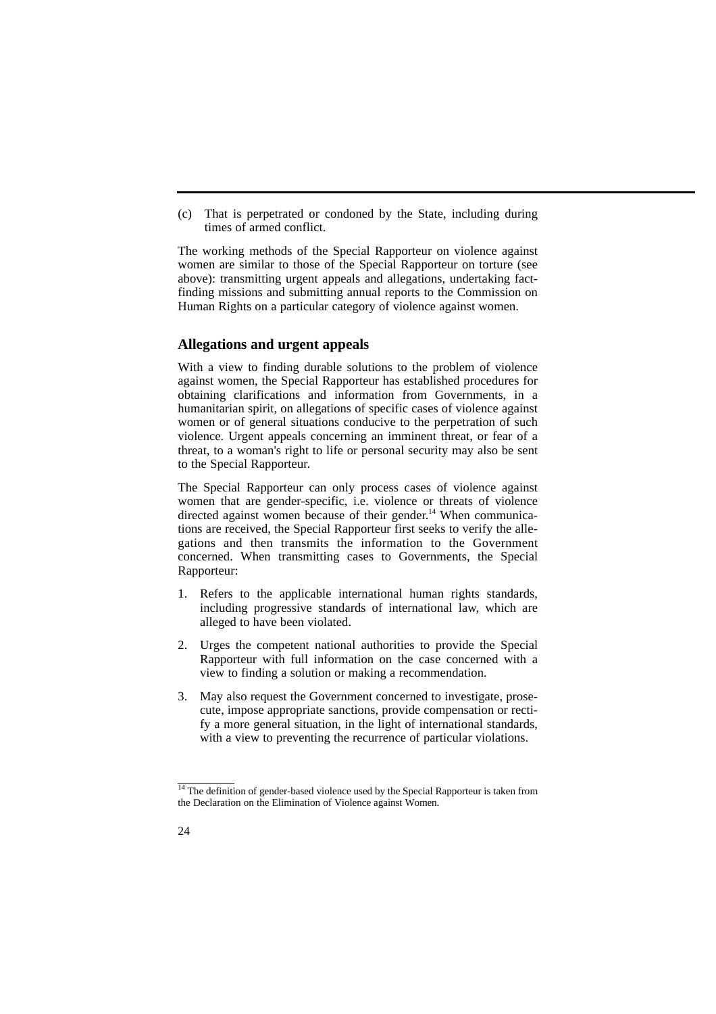(c) That is perpetrated or condoned by the State, including during times of armed conflict.

The working methods of the Special Rapporteur on violence against women are similar to those of the Special Rapporteur on torture (see above): transmitting urgent appeals and allegations, undertaking factfinding missions and submitting annual reports to the Commission on Human Rights on a particular category of violence against women.

#### **Allegations and urgent appeals**

With a view to finding durable solutions to the problem of violence against women, the Special Rapporteur has established procedures for obtaining clarifications and information from Governments, in a humanitarian spirit, on allegations of specific cases of violence against women or of general situations conducive to the perpetration of such violence. Urgent appeals concerning an imminent threat, or fear of a threat, to a woman's right to life or personal security may also be sent to the Special Rapporteur.

The Special Rapporteur can only process cases of violence against women that are gender-specific, i.e. violence or threats of violence directed against women because of their gender.<sup>14</sup> When communications are received, the Special Rapporteur first seeks to verify the allegations and then transmits the information to the Government concerned. When transmitting cases to Governments, the Special Rapporteur:

- 1. Refers to the applicable international human rights standards, including progressive standards of international law, which are alleged to have been violated.
- 2. Urges the competent national authorities to provide the Special Rapporteur with full information on the case concerned with a view to finding a solution or making a recommendation.
- 3. May also request the Government concerned to investigate, prosecute, impose appropriate sanctions, provide compensation or rectify a more general situation, in the light of international standards, with a view to preventing the recurrence of particular violations.

 $14$  The definition of gender-based violence used by the Special Rapporteur is taken from the Declaration on the Elimination of Violence against Women.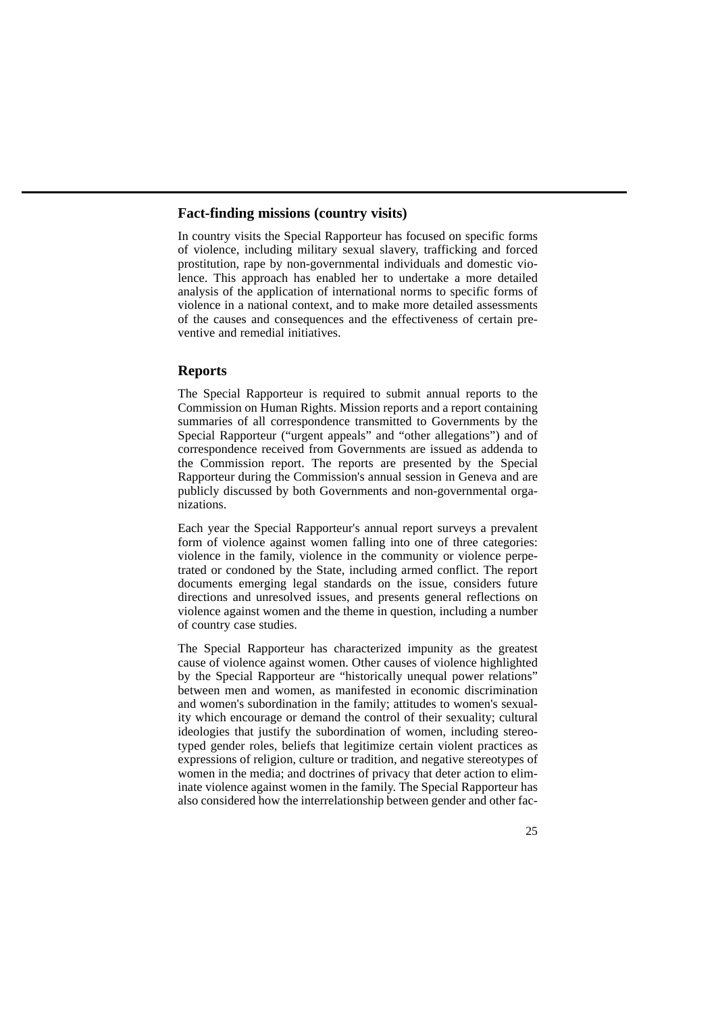#### **Fact-finding missions (country visits)**

In country visits the Special Rapporteur has focused on specific forms of violence, including military sexual slavery, trafficking and forced prostitution, rape by non-governmental individuals and domestic violence. This approach has enabled her to undertake a more detailed analysis of the application of international norms to specific forms of violence in a national context, and to make more detailed assessments of the causes and consequences and the effectiveness of certain preventive and remedial initiatives.

#### **Reports**

The Special Rapporteur is required to submit annual reports to the Commission on Human Rights. Mission reports and a report containing summaries of all correspondence transmitted to Governments by the Special Rapporteur ("urgent appeals" and "other allegations") and of correspondence received from Governments are issued as addenda to the Commission report. The reports are presented by the Special Rapporteur during the Commission's annual session in Geneva and are publicly discussed by both Governments and non-governmental organizations.

Each year the Special Rapporteur's annual report surveys a prevalent form of violence against women falling into one of three categories: violence in the family, violence in the community or violence perpetrated or condoned by the State, including armed conflict. The report documents emerging legal standards on the issue, considers future directions and unresolved issues, and presents general reflections on violence against women and the theme in question, including a number of country case studies.

The Special Rapporteur has characterized impunity as the greatest cause of violence against women. Other causes of violence highlighted by the Special Rapporteur are "historically unequal power relations" between men and women, as manifested in economic discrimination and women's subordination in the family; attitudes to women's sexuality which encourage or demand the control of their sexuality; cultural ideologies that justify the subordination of women, including stereotyped gender roles, beliefs that legitimize certain violent practices as expressions of religion, culture or tradition, and negative stereotypes of women in the media; and doctrines of privacy that deter action to eliminate violence against women in the family. The Special Rapporteur has also considered how the interrelationship between gender and other fac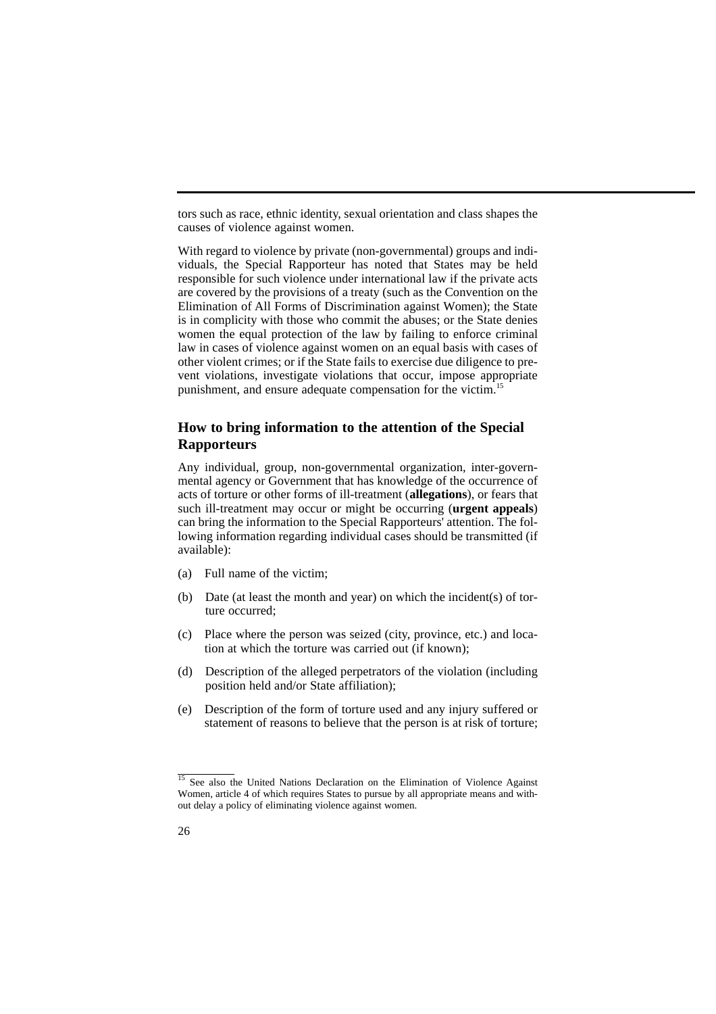tors such as race, ethnic identity, sexual orientation and class shapes the causes of violence against women.

With regard to violence by private (non-governmental) groups and individuals, the Special Rapporteur has noted that States may be held responsible for such violence under international law if the private acts are covered by the provisions of a treaty (such as the Convention on the Elimination of All Forms of Discrimination against Women); the State is in complicity with those who commit the abuses; or the State denies women the equal protection of the law by failing to enforce criminal law in cases of violence against women on an equal basis with cases of other violent crimes; or if the State fails to exercise due diligence to prevent violations, investigate violations that occur, impose appropriate punishment, and ensure adequate compensation for the victim.<sup>15</sup>

# **How to bring information to the attention of the Special Rapporteurs**

Any individual, group, non-governmental organization, inter-governmental agency or Government that has knowledge of the occurrence of acts of torture or other forms of ill-treatment (**allegations**), or fears that such ill-treatment may occur or might be occurring (**urgent appeals**) can bring the information to the Special Rapporteurs' attention. The following information regarding individual cases should be transmitted (if available):

- (a) Full name of the victim;
- (b) Date (at least the month and year) on which the incident(s) of torture occurred;
- (c) Place where the person was seized (city, province, etc.) and location at which the torture was carried out (if known);
- (d) Description of the alleged perpetrators of the violation (including position held and/or State affiliation);
- (e) Description of the form of torture used and any injury suffered or statement of reasons to believe that the person is at risk of torture;

<sup>&</sup>lt;sup>15</sup> See also the United Nations Declaration on the Elimination of Violence Against Women, article 4 of which requires States to pursue by all appropriate means and without delay a policy of eliminating violence against women.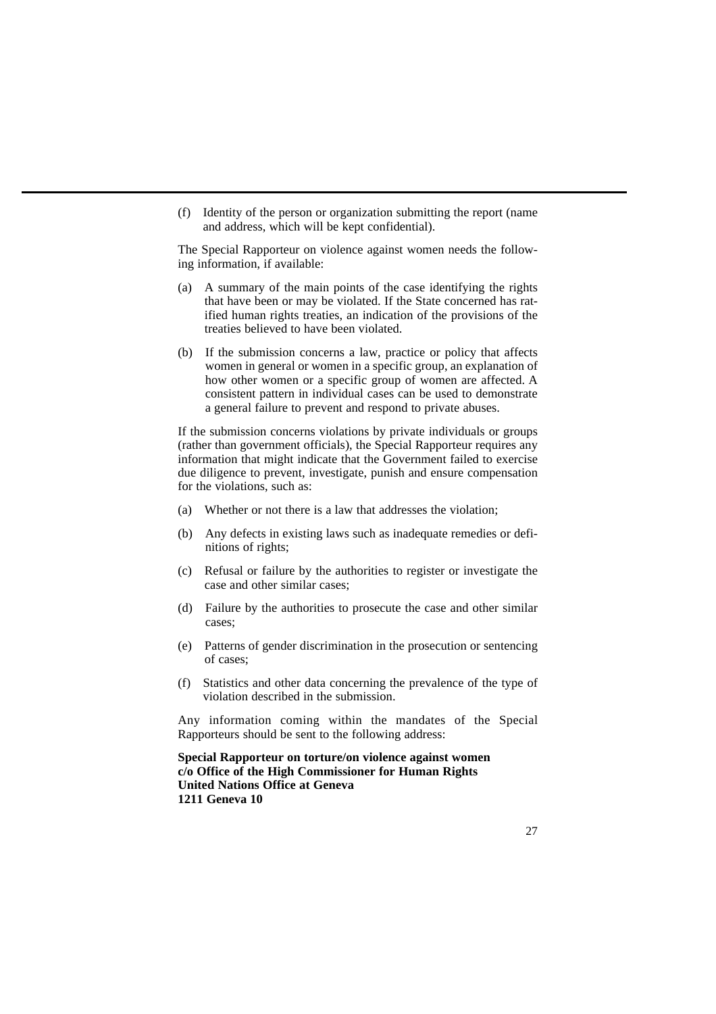(f) Identity of the person or organization submitting the report (name and address, which will be kept confidential).

The Special Rapporteur on violence against women needs the following information, if available:

- (a) A summary of the main points of the case identifying the rights that have been or may be violated. If the State concerned has ratified human rights treaties, an indication of the provisions of the treaties believed to have been violated.
- (b) If the submission concerns a law, practice or policy that affects women in general or women in a specific group, an explanation of how other women or a specific group of women are affected. A consistent pattern in individual cases can be used to demonstrate a general failure to prevent and respond to private abuses.

If the submission concerns violations by private individuals or groups (rather than government officials), the Special Rapporteur requires any information that might indicate that the Government failed to exercise due diligence to prevent, investigate, punish and ensure compensation for the violations, such as:

- (a) Whether or not there is a law that addresses the violation;
- (b) Any defects in existing laws such as inadequate remedies or definitions of rights;
- (c) Refusal or failure by the authorities to register or investigate the case and other similar cases;
- (d) Failure by the authorities to prosecute the case and other similar cases;
- (e) Patterns of gender discrimination in the prosecution or sentencing of cases;
- (f) Statistics and other data concerning the prevalence of the type of violation described in the submission.

Any information coming within the mandates of the Special Rapporteurs should be sent to the following address:

**Special Rapporteur on torture/on violence against women c/o Office of the High Commissioner for Human Rights United Nations Office at Geneva 1211 Geneva 10**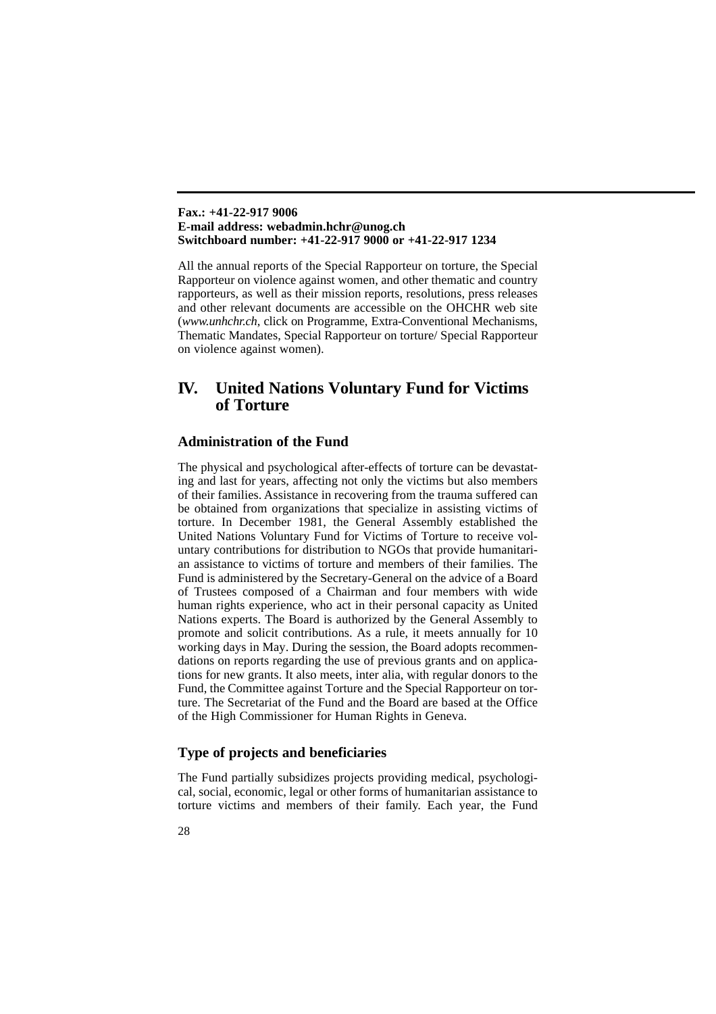#### **Fax.: +41-22-917 9006 E-mail address: webadmin.hchr@unog.ch Switchboard number: +41-22-917 9000 or +41-22-917 1234**

All the annual reports of the Special Rapporteur on torture, the Special Rapporteur on violence against women, and other thematic and country rapporteurs, as well as their mission reports, resolutions, press releases and other relevant documents are accessible on the OHCHR web site (*www.unhchr.ch*, click on Programme, Extra-Conventional Mechanisms, Thematic Mandates, Special Rapporteur on torture/ Special Rapporteur on violence against women).

# **IV. United Nations Voluntary Fund for Victims of Torture**

## **Administration of the Fund**

The physical and psychological after-effects of torture can be devastating and last for years, affecting not only the victims but also members of their families. Assistance in recovering from the trauma suffered can be obtained from organizations that specialize in assisting victims of torture. In December 1981, the General Assembly established the United Nations Voluntary Fund for Victims of Torture to receive voluntary contributions for distribution to NGOs that provide humanitarian assistance to victims of torture and members of their families. The Fund is administered by the Secretary-General on the advice of a Board of Trustees composed of a Chairman and four members with wide human rights experience, who act in their personal capacity as United Nations experts. The Board is authorized by the General Assembly to promote and solicit contributions. As a rule, it meets annually for 10 working days in May. During the session, the Board adopts recommendations on reports regarding the use of previous grants and on applications for new grants. It also meets, inter alia, with regular donors to the Fund, the Committee against Torture and the Special Rapporteur on torture. The Secretariat of the Fund and the Board are based at the Office of the High Commissioner for Human Rights in Geneva.

#### **Type of projects and beneficiaries**

The Fund partially subsidizes projects providing medical, psychological, social, economic, legal or other forms of humanitarian assistance to torture victims and members of their family. Each year, the Fund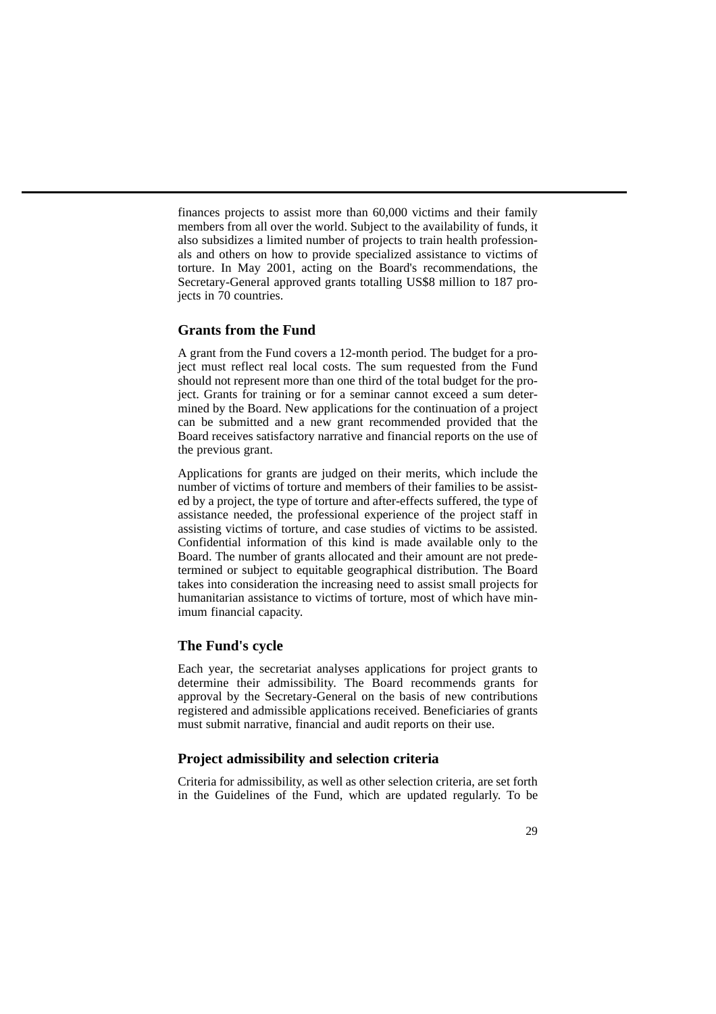finances projects to assist more than 60,000 victims and their family members from all over the world. Subject to the availability of funds, it also subsidizes a limited number of projects to train health professionals and others on how to provide specialized assistance to victims of torture. In May 2001, acting on the Board's recommendations, the Secretary-General approved grants totalling US\$8 million to 187 projects in 70 countries.

#### **Grants from the Fund**

A grant from the Fund covers a 12-month period. The budget for a project must reflect real local costs. The sum requested from the Fund should not represent more than one third of the total budget for the project. Grants for training or for a seminar cannot exceed a sum determined by the Board. New applications for the continuation of a project can be submitted and a new grant recommended provided that the Board receives satisfactory narrative and financial reports on the use of the previous grant.

Applications for grants are judged on their merits, which include the number of victims of torture and members of their families to be assisted by a project, the type of torture and after-effects suffered, the type of assistance needed, the professional experience of the project staff in assisting victims of torture, and case studies of victims to be assisted. Confidential information of this kind is made available only to the Board. The number of grants allocated and their amount are not predetermined or subject to equitable geographical distribution. The Board takes into consideration the increasing need to assist small projects for humanitarian assistance to victims of torture, most of which have minimum financial capacity.

#### **The Fund's cycle**

Each year, the secretariat analyses applications for project grants to determine their admissibility. The Board recommends grants for approval by the Secretary-General on the basis of new contributions registered and admissible applications received. Beneficiaries of grants must submit narrative, financial and audit reports on their use.

#### **Project admissibility and selection criteria**

Criteria for admissibility, as well as other selection criteria, are set forth in the Guidelines of the Fund, which are updated regularly. To be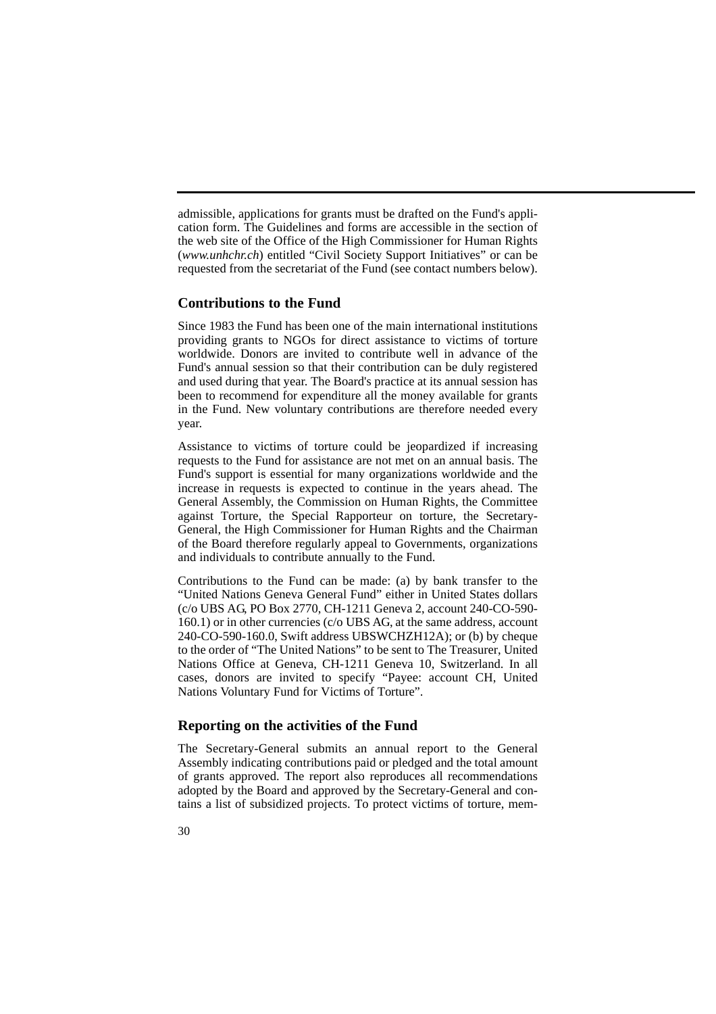admissible, applications for grants must be drafted on the Fund's application form. The Guidelines and forms are accessible in the section of the web site of the Office of the High Commissioner for Human Rights (*www.unhchr.ch*) entitled "Civil Society Support Initiatives" or can be requested from the secretariat of the Fund (see contact numbers below).

#### **Contributions to the Fund**

Since 1983 the Fund has been one of the main international institutions providing grants to NGOs for direct assistance to victims of torture worldwide. Donors are invited to contribute well in advance of the Fund's annual session so that their contribution can be duly registered and used during that year. The Board's practice at its annual session has been to recommend for expenditure all the money available for grants in the Fund. New voluntary contributions are therefore needed every year.

Assistance to victims of torture could be jeopardized if increasing requests to the Fund for assistance are not met on an annual basis. The Fund's support is essential for many organizations worldwide and the increase in requests is expected to continue in the years ahead. The General Assembly, the Commission on Human Rights, the Committee against Torture, the Special Rapporteur on torture, the Secretary-General, the High Commissioner for Human Rights and the Chairman of the Board therefore regularly appeal to Governments, organizations and individuals to contribute annually to the Fund.

Contributions to the Fund can be made: (a) by bank transfer to the "United Nations Geneva General Fund" either in United States dollars (c/o UBS AG, PO Box 2770, CH-1211 Geneva 2, account 240-CO-590- 160.1) or in other currencies (c/o UBS AG, at the same address, account 240-CO-590-160.0, Swift address UBSWCHZH12A); or (b) by cheque to the order of "The United Nations" to be sent to The Treasurer, United Nations Office at Geneva, CH-1211 Geneva 10, Switzerland. In all cases, donors are invited to specify "Payee: account CH, United Nations Voluntary Fund for Victims of Torture".

#### **Reporting on the activities of the Fund**

The Secretary-General submits an annual report to the General Assembly indicating contributions paid or pledged and the total amount of grants approved. The report also reproduces all recommendations adopted by the Board and approved by the Secretary-General and contains a list of subsidized projects. To protect victims of torture, mem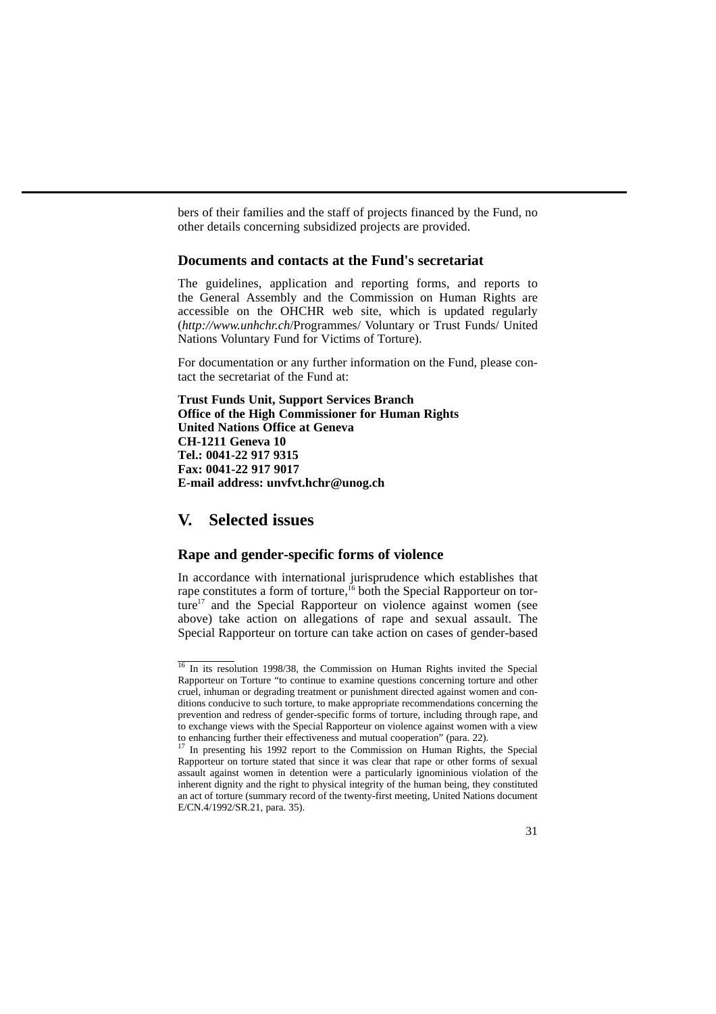bers of their families and the staff of projects financed by the Fund, no other details concerning subsidized projects are provided.

#### **Documents and contacts at the Fund's secretariat**

The guidelines, application and reporting forms, and reports to the General Assembly and the Commission on Human Rights are accessible on the OHCHR web site, which is updated regularly (*http://www.unhchr.ch*/Programmes/ Voluntary or Trust Funds/ United Nations Voluntary Fund for Victims of Torture).

For documentation or any further information on the Fund, please contact the secretariat of the Fund at:

**Trust Funds Unit, Support Services Branch Office of the High Commissioner for Human Rights United Nations Office at Geneva CH-1211 Geneva 10 Tel.: 0041-22 917 9315 Fax: 0041-22 917 9017 E-mail address: unvfvt.hchr@unog.ch**

# **V. Selected issues**

#### **Rape and gender-specific forms of violence**

In accordance with international jurisprudence which establishes that rape constitutes a form of torture,<sup>16</sup> both the Special Rapporteur on tor $ture<sup>17</sup>$  and the Special Rapporteur on violence against women (see above) take action on allegations of rape and sexual assault. The Special Rapporteur on torture can take action on cases of gender-based

<sup>&</sup>lt;sup>16</sup> In its resolution 1998/38, the Commission on Human Rights invited the Special Rapporteur on Torture "to continue to examine questions concerning torture and other cruel, inhuman or degrading treatment or punishment directed against women and conditions conducive to such torture, to make appropriate recommendations concerning the prevention and redress of gender-specific forms of torture, including through rape, and to exchange views with the Special Rapporteur on violence against women with a view to enhancing further their effectiveness and mutual cooperation" (para. 22).

<sup>17</sup> In presenting his 1992 report to the Commission on Human Rights, the Special Rapporteur on torture stated that since it was clear that rape or other forms of sexual assault against women in detention were a particularly ignominious violation of the inherent dignity and the right to physical integrity of the human being, they constituted an act of torture (summary record of the twenty-first meeting, United Nations document E/CN.4/1992/SR.21, para. 35).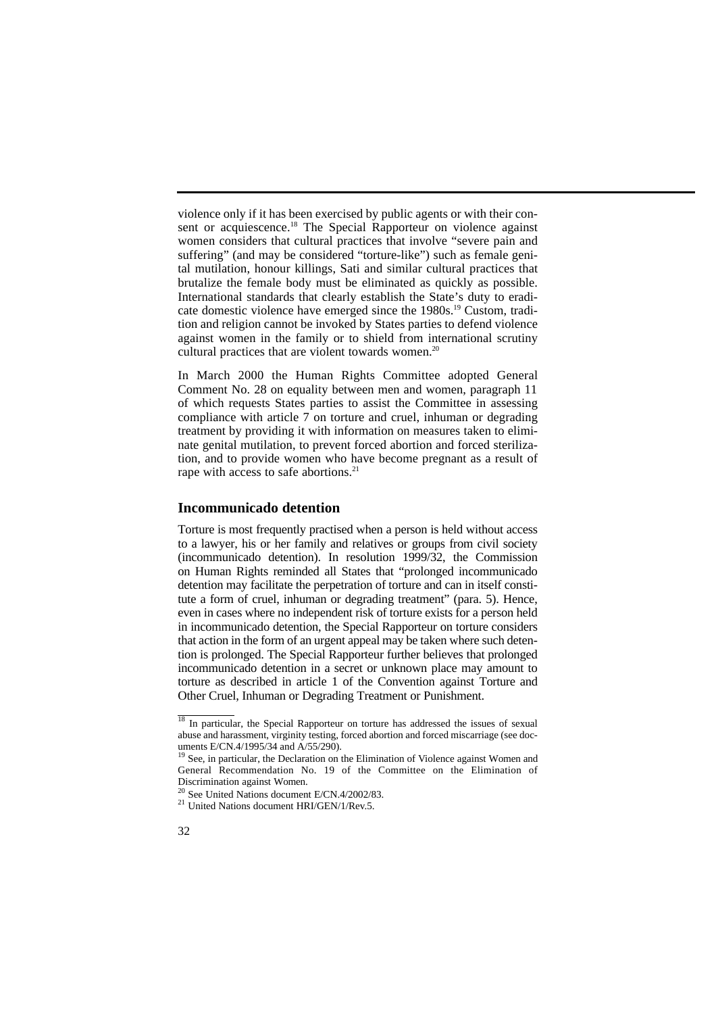violence only if it has been exercised by public agents or with their consent or acquiescence.<sup>18</sup> The Special Rapporteur on violence against women considers that cultural practices that involve "severe pain and suffering" (and may be considered "torture-like") such as female genital mutilation, honour killings, Sati and similar cultural practices that brutalize the female body must be eliminated as quickly as possible. International standards that clearly establish the State's duty to eradicate domestic violence have emerged since the 1980s.<sup>19</sup> Custom, tradition and religion cannot be invoked by States parties to defend violence against women in the family or to shield from international scrutiny cultural practices that are violent towards women.<sup>20</sup>

In March 2000 the Human Rights Committee adopted General Comment No. 28 on equality between men and women, paragraph 11 of which requests States parties to assist the Committee in assessing compliance with article 7 on torture and cruel, inhuman or degrading treatment by providing it with information on measures taken to eliminate genital mutilation, to prevent forced abortion and forced sterilization, and to provide women who have become pregnant as a result of rape with access to safe abortions.<sup>21</sup>

#### **Incommunicado detention**

Torture is most frequently practised when a person is held without access to a lawyer, his or her family and relatives or groups from civil society (incommunicado detention). In resolution 1999/32, the Commission on Human Rights reminded all States that "prolonged incommunicado detention may facilitate the perpetration of torture and can in itself constitute a form of cruel, inhuman or degrading treatment" (para. 5). Hence, even in cases where no independent risk of torture exists for a person held in incommunicado detention, the Special Rapporteur on torture considers that action in the form of an urgent appeal may be taken where such detention is prolonged. The Special Rapporteur further believes that prolonged incommunicado detention in a secret or unknown place may amount to torture as described in article 1 of the Convention against Torture and Other Cruel, Inhuman or Degrading Treatment or Punishment.

<sup>&</sup>lt;sup>18</sup> In particular, the Special Rapporteur on torture has addressed the issues of sexual abuse and harassment, virginity testing, forced abortion and forced miscarriage (see documents E/CN.4/1995/34 and A/55/290).

<sup>&</sup>lt;sup>19</sup> See, in particular, the Declaration on the Elimination of Violence against Women and General Recommendation No. 19 of the Committee on the Elimination of Discrimination against Women.

<sup>&</sup>lt;sup>20</sup> See United Nations document E/CN.4/2002/83.

<sup>&</sup>lt;sup>21</sup> United Nations document HRI/GEN/1/Rev.5.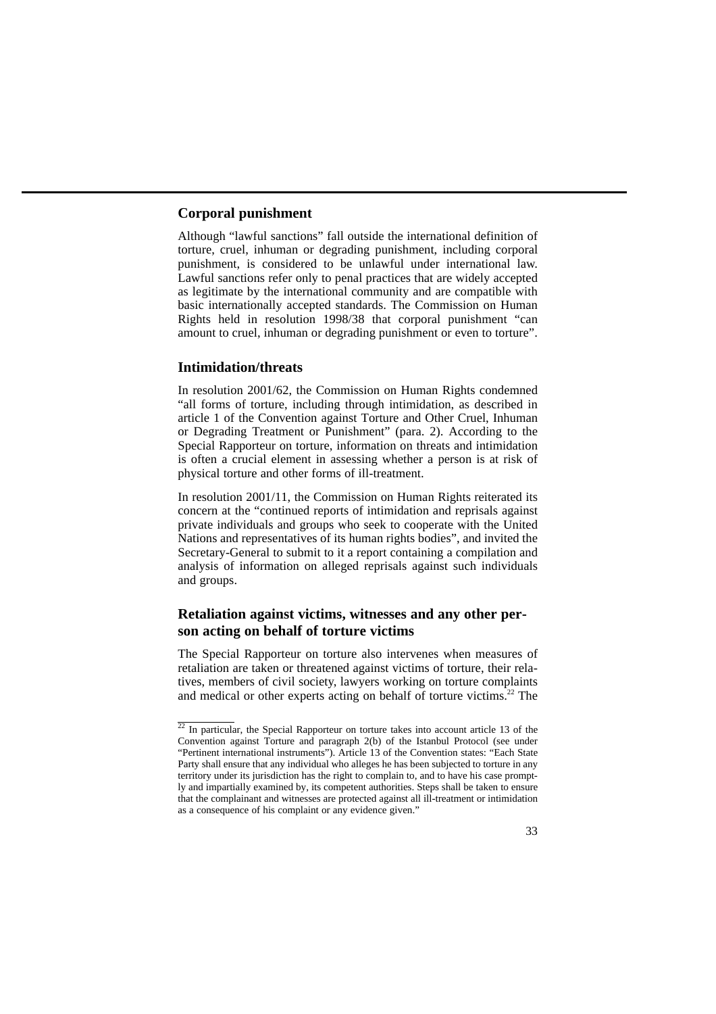#### **Corporal punishment**

Although "lawful sanctions" fall outside the international definition of torture, cruel, inhuman or degrading punishment, including corporal punishment, is considered to be unlawful under international law. Lawful sanctions refer only to penal practices that are widely accepted as legitimate by the international community and are compatible with basic internationally accepted standards. The Commission on Human Rights held in resolution 1998/38 that corporal punishment "can amount to cruel, inhuman or degrading punishment or even to torture".

## **Intimidation/threats**

In resolution 2001/62, the Commission on Human Rights condemned "all forms of torture, including through intimidation, as described in article 1 of the Convention against Torture and Other Cruel, Inhuman or Degrading Treatment or Punishment" (para. 2). According to the Special Rapporteur on torture, information on threats and intimidation is often a crucial element in assessing whether a person is at risk of physical torture and other forms of ill-treatment.

In resolution 2001/11, the Commission on Human Rights reiterated its concern at the "continued reports of intimidation and reprisals against private individuals and groups who seek to cooperate with the United Nations and representatives of its human rights bodies", and invited the Secretary-General to submit to it a report containing a compilation and analysis of information on alleged reprisals against such individuals and groups.

## **Retaliation against victims, witnesses and any other person acting on behalf of torture victims**

The Special Rapporteur on torture also intervenes when measures of retaliation are taken or threatened against victims of torture, their relatives, members of civil society, lawyers working on torture complaints and medical or other experts acting on behalf of torture victims.<sup>22</sup> The

 $\frac{22}{2}$  In particular, the Special Rapporteur on torture takes into account article 13 of the Convention against Torture and paragraph 2(b) of the Istanbul Protocol (see under "Pertinent international instruments"). Article 13 of the Convention states: "Each State Party shall ensure that any individual who alleges he has been subjected to torture in any territory under its jurisdiction has the right to complain to, and to have his case promptly and impartially examined by, its competent authorities. Steps shall be taken to ensure that the complainant and witnesses are protected against all ill-treatment or intimidation as a consequence of his complaint or any evidence given."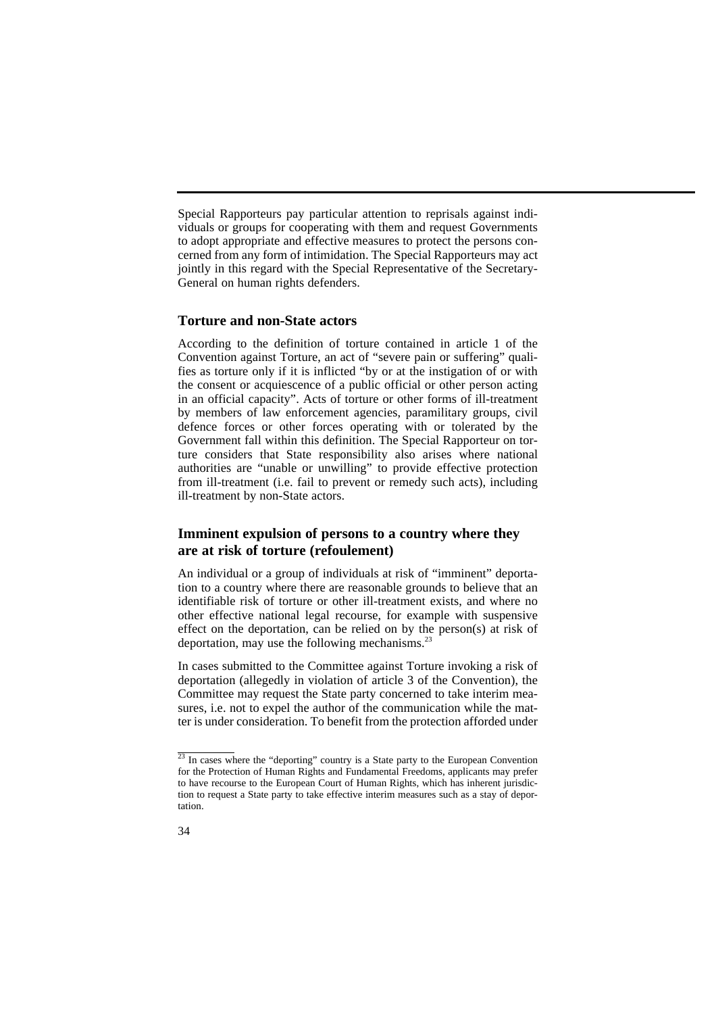Special Rapporteurs pay particular attention to reprisals against individuals or groups for cooperating with them and request Governments to adopt appropriate and effective measures to protect the persons concerned from any form of intimidation. The Special Rapporteurs may act jointly in this regard with the Special Representative of the Secretary-General on human rights defenders.

#### **Torture and non-State actors**

According to the definition of torture contained in article 1 of the Convention against Torture, an act of "severe pain or suffering" qualifies as torture only if it is inflicted "by or at the instigation of or with the consent or acquiescence of a public official or other person acting in an official capacity". Acts of torture or other forms of ill-treatment by members of law enforcement agencies, paramilitary groups, civil defence forces or other forces operating with or tolerated by the Government fall within this definition. The Special Rapporteur on torture considers that State responsibility also arises where national authorities are "unable or unwilling" to provide effective protection from ill-treatment (i.e. fail to prevent or remedy such acts), including ill-treatment by non-State actors.

## **Imminent expulsion of persons to a country where they are at risk of torture (refoulement)**

An individual or a group of individuals at risk of "imminent" deportation to a country where there are reasonable grounds to believe that an identifiable risk of torture or other ill-treatment exists, and where no other effective national legal recourse, for example with suspensive effect on the deportation, can be relied on by the person(s) at risk of deportation, may use the following mechanisms. $^{23}$ 

In cases submitted to the Committee against Torture invoking a risk of deportation (allegedly in violation of article 3 of the Convention), the Committee may request the State party concerned to take interim measures, i.e. not to expel the author of the communication while the matter is under consideration. To benefit from the protection afforded under

 $\frac{23}{23}$  In cases where the "deporting" country is a State party to the European Convention for the Protection of Human Rights and Fundamental Freedoms, applicants may prefer to have recourse to the European Court of Human Rights, which has inherent jurisdiction to request a State party to take effective interim measures such as a stay of deportation.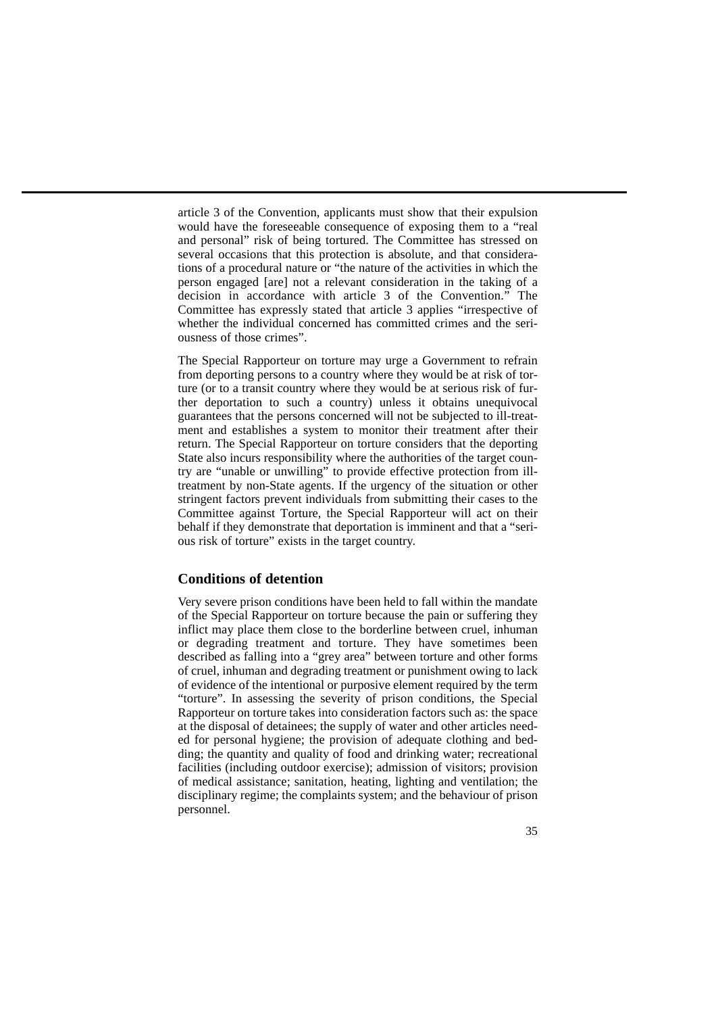article 3 of the Convention, applicants must show that their expulsion would have the foreseeable consequence of exposing them to a "real and personal" risk of being tortured. The Committee has stressed on several occasions that this protection is absolute, and that considerations of a procedural nature or "the nature of the activities in which the person engaged [are] not a relevant consideration in the taking of a decision in accordance with article 3 of the Convention." The Committee has expressly stated that article 3 applies "irrespective of whether the individual concerned has committed crimes and the seriousness of those crimes".

The Special Rapporteur on torture may urge a Government to refrain from deporting persons to a country where they would be at risk of torture (or to a transit country where they would be at serious risk of further deportation to such a country) unless it obtains unequivocal guarantees that the persons concerned will not be subjected to ill-treatment and establishes a system to monitor their treatment after their return. The Special Rapporteur on torture considers that the deporting State also incurs responsibility where the authorities of the target country are "unable or unwilling" to provide effective protection from illtreatment by non-State agents. If the urgency of the situation or other stringent factors prevent individuals from submitting their cases to the Committee against Torture, the Special Rapporteur will act on their behalf if they demonstrate that deportation is imminent and that a "serious risk of torture" exists in the target country.

## **Conditions of detention**

Very severe prison conditions have been held to fall within the mandate of the Special Rapporteur on torture because the pain or suffering they inflict may place them close to the borderline between cruel, inhuman or degrading treatment and torture. They have sometimes been described as falling into a "grey area" between torture and other forms of cruel, inhuman and degrading treatment or punishment owing to lack of evidence of the intentional or purposive element required by the term "torture". In assessing the severity of prison conditions, the Special Rapporteur on torture takes into consideration factors such as: the space at the disposal of detainees; the supply of water and other articles needed for personal hygiene; the provision of adequate clothing and bedding; the quantity and quality of food and drinking water; recreational facilities (including outdoor exercise); admission of visitors; provision of medical assistance; sanitation, heating, lighting and ventilation; the disciplinary regime; the complaints system; and the behaviour of prison personnel.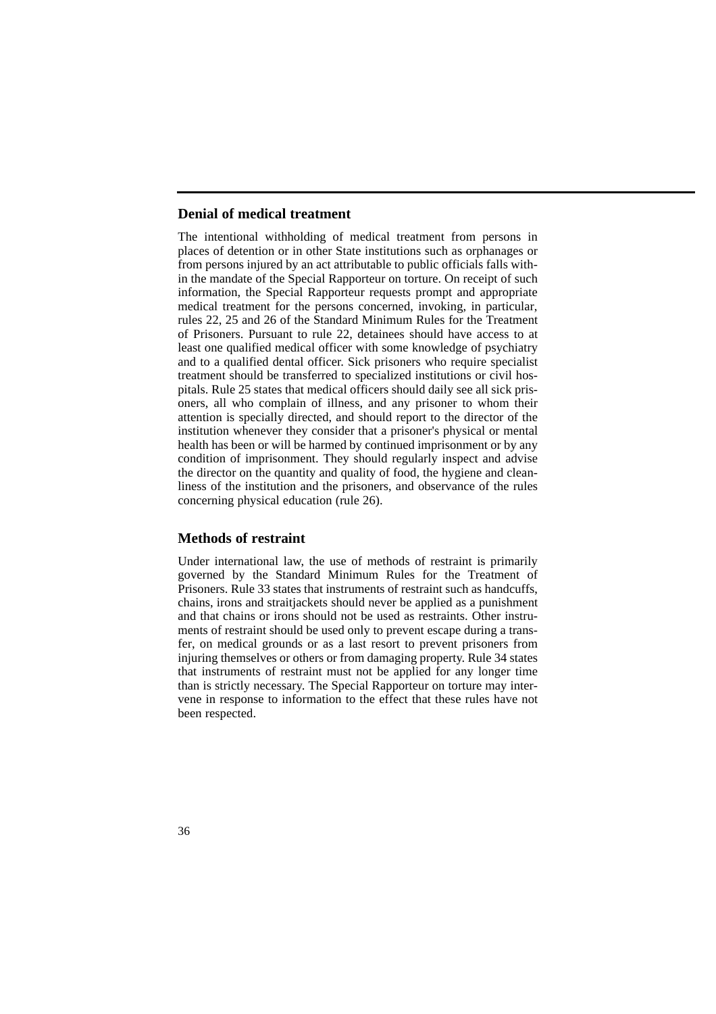#### **Denial of medical treatment**

The intentional withholding of medical treatment from persons in places of detention or in other State institutions such as orphanages or from persons injured by an act attributable to public officials falls within the mandate of the Special Rapporteur on torture. On receipt of such information, the Special Rapporteur requests prompt and appropriate medical treatment for the persons concerned, invoking, in particular, rules 22, 25 and 26 of the Standard Minimum Rules for the Treatment of Prisoners. Pursuant to rule 22, detainees should have access to at least one qualified medical officer with some knowledge of psychiatry and to a qualified dental officer. Sick prisoners who require specialist treatment should be transferred to specialized institutions or civil hospitals. Rule 25 states that medical officers should daily see all sick prisoners, all who complain of illness, and any prisoner to whom their attention is specially directed, and should report to the director of the institution whenever they consider that a prisoner's physical or mental health has been or will be harmed by continued imprisonment or by any condition of imprisonment. They should regularly inspect and advise the director on the quantity and quality of food, the hygiene and cleanliness of the institution and the prisoners, and observance of the rules concerning physical education (rule 26).

#### **Methods of restraint**

Under international law, the use of methods of restraint is primarily governed by the Standard Minimum Rules for the Treatment of Prisoners. Rule 33 states that instruments of restraint such as handcuffs, chains, irons and straitjackets should never be applied as a punishment and that chains or irons should not be used as restraints. Other instruments of restraint should be used only to prevent escape during a transfer, on medical grounds or as a last resort to prevent prisoners from injuring themselves or others or from damaging property. Rule 34 states that instruments of restraint must not be applied for any longer time than is strictly necessary. The Special Rapporteur on torture may intervene in response to information to the effect that these rules have not been respected.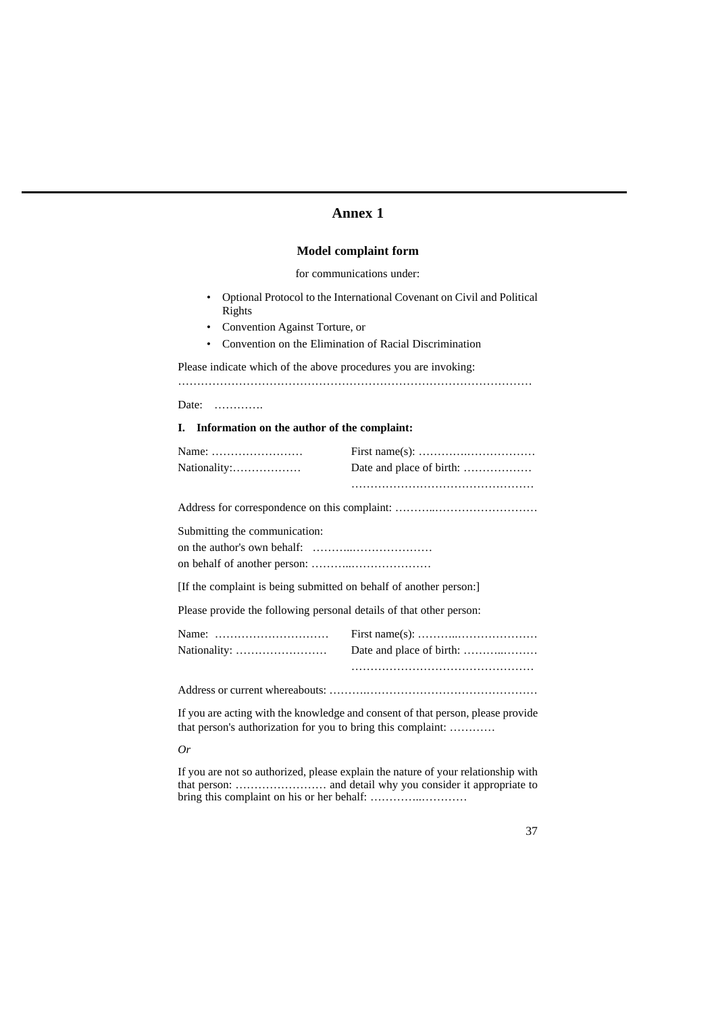#### **Annex 1**

#### **Model complaint form**

for communications under:

- Optional Protocol to the International Covenant on Civil and Political Rights
- Convention Against Torture, or
- Convention on the Elimination of Racial Discrimination

Please indicate which of the above procedures you are invoking:

…………………………………………………………………………………

#### Date: ………….

#### **I. Information on the author of the complaint:**

| Name:        |                          |
|--------------|--------------------------|
| Nationality: | Date and place of birth: |
|              |                          |
|              |                          |

Address for correspondence on this complaint: ...................................

Submitting the communication:

on the author's own behalf: ………..………………… on behalf of another person: ………..…………………

[If the complaint is being submitted on behalf of another person:]

Please provide the following personal details of that other person:

|              | First name(s): $\dots \dots \dots \dots \dots \dots \dots \dots \dots$ |
|--------------|------------------------------------------------------------------------|
| Nationality: | Date and place of birth:                                               |
|              |                                                                        |

Address or current whereabouts: ……….………………………………………

If you are acting with the knowledge and consent of that person, please provide that person's authorization for you to bring this complaint: …………

#### *Or*

If you are not so authorized, please explain the nature of your relationship with that person: …………………… and detail why you consider it appropriate to bring this complaint on his or her behalf: …………..…………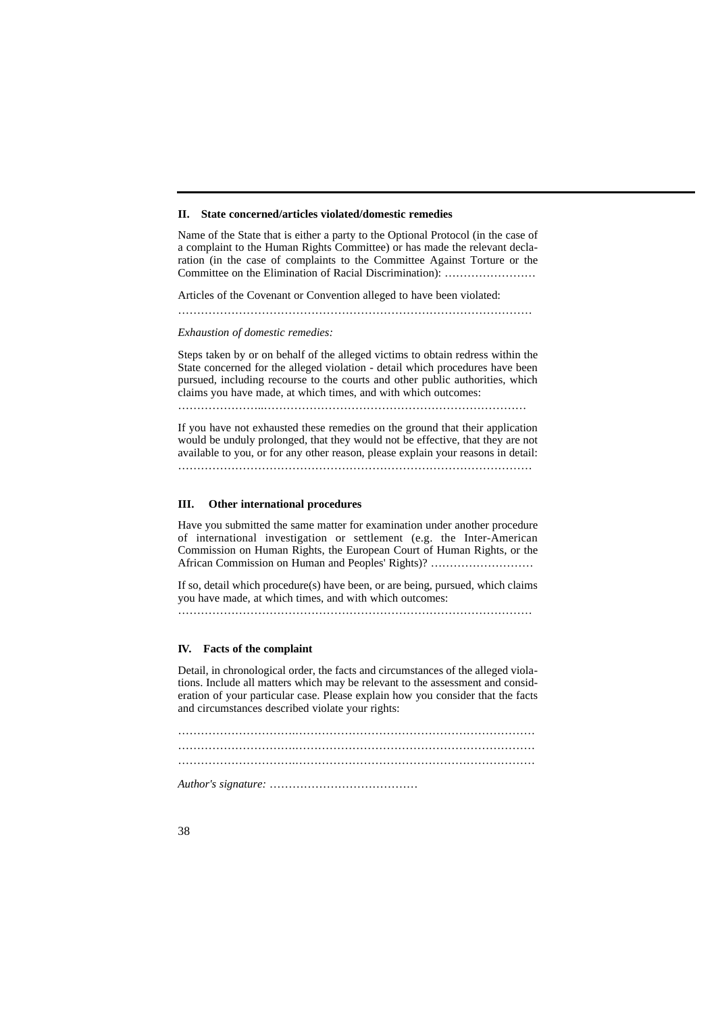#### **II. State concerned/articles violated/domestic remedies**

Name of the State that is either a party to the Optional Protocol (in the case of a complaint to the Human Rights Committee) or has made the relevant declaration (in the case of complaints to the Committee Against Torture or the Committee on the Elimination of Racial Discrimination): ……………………

Articles of the Covenant or Convention alleged to have been violated:

…………………………………………………………………………………

*Exhaustion of domestic remedies:*

Steps taken by or on behalf of the alleged victims to obtain redress within the State concerned for the alleged violation - detail which procedures have been pursued, including recourse to the courts and other public authorities, which claims you have made, at which times, and with which outcomes:

…………………..……………………………………………………………

If you have not exhausted these remedies on the ground that their application would be unduly prolonged, that they would not be effective, that they are not available to you, or for any other reason, please explain your reasons in detail: …………………………………………………………………………………

#### **III. Other international procedures**

Have you submitted the same matter for examination under another procedure of international investigation or settlement (e.g. the Inter-American Commission on Human Rights, the European Court of Human Rights, or the African Commission on Human and Peoples' Rights)? ………………………

If so, detail which procedure(s) have been, or are being, pursued, which claims you have made, at which times, and with which outcomes:

…………………………………………………………………………………

#### **IV. Facts of the complaint**

Detail, in chronological order, the facts and circumstances of the alleged violations. Include all matters which may be relevant to the assessment and consideration of your particular case. Please explain how you consider that the facts and circumstances described violate your rights:

………………………….……………………………………………………… ………………………….……………………………………………………… ………………………….……………………………………………………… *Author's signature:* …………………………………

38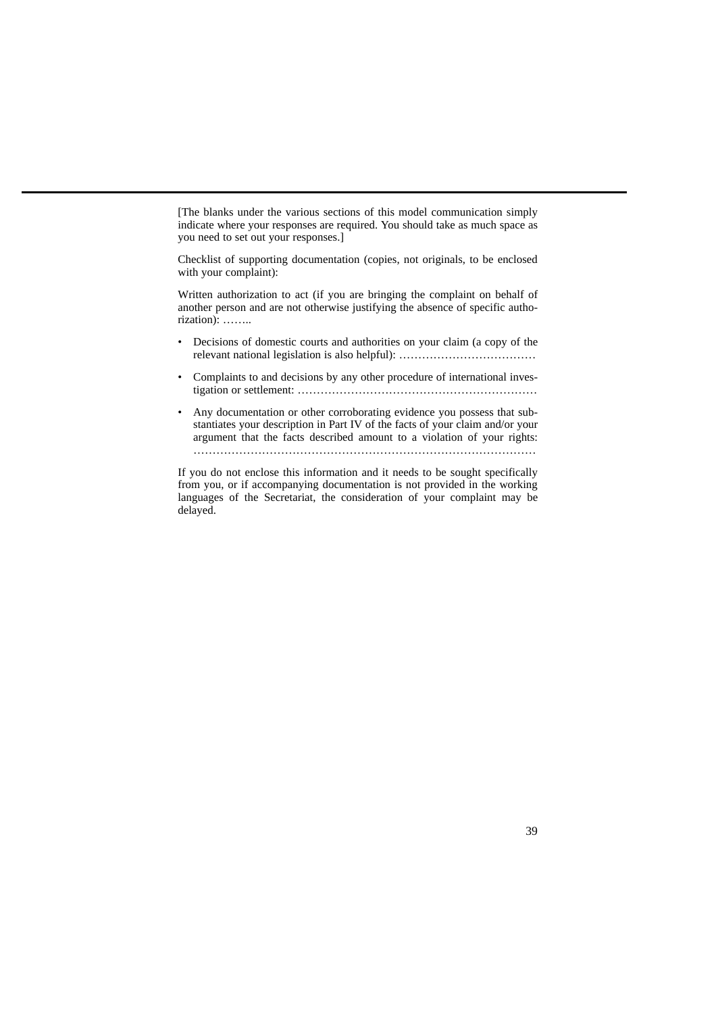[The blanks under the various sections of this model communication simply indicate where your responses are required. You should take as much space as you need to set out your responses.]

Checklist of supporting documentation (copies, not originals, to be enclosed with your complaint):

Written authorization to act (if you are bringing the complaint on behalf of another person and are not otherwise justifying the absence of specific authorization): ……..

- Decisions of domestic courts and authorities on your claim (a copy of the relevant national legislation is also helpful): ………………………………
- Complaints to and decisions by any other procedure of international investigation or settlement: ………………………………………………………
- Any documentation or other corroborating evidence you possess that substantiates your description in Part IV of the facts of your claim and/or your argument that the facts described amount to a violation of your rights: ………………………………………………………………………………

If you do not enclose this information and it needs to be sought specifically from you, or if accompanying documentation is not provided in the working languages of the Secretariat, the consideration of your complaint may be delayed.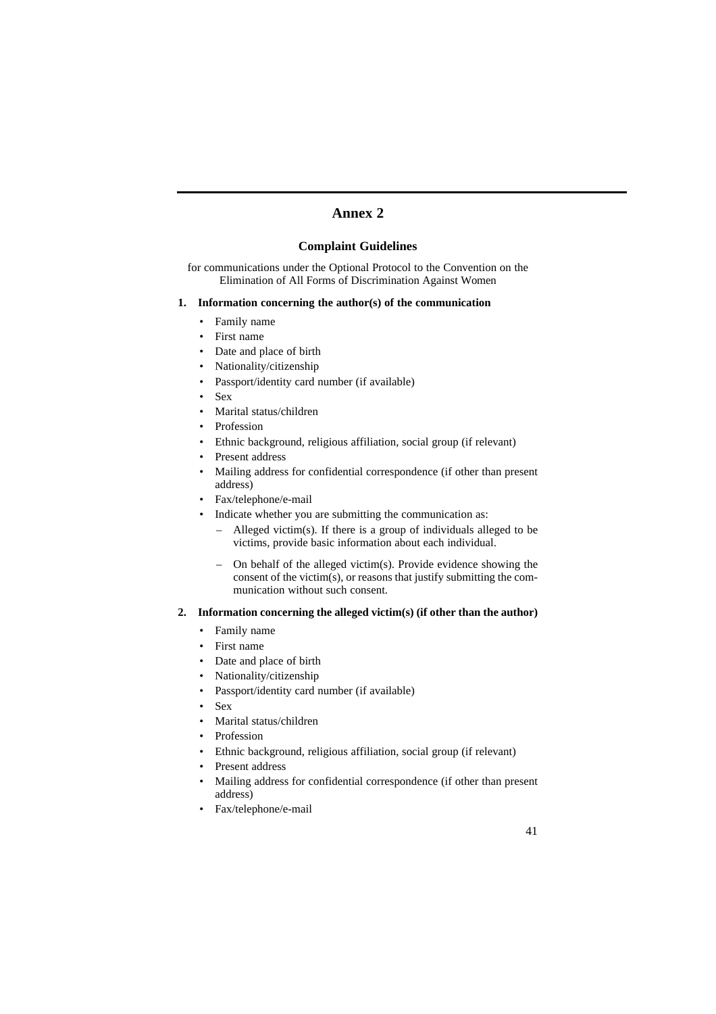## **Annex 2**

#### **Complaint Guidelines**

for communications under the Optional Protocol to the Convention on the Elimination of All Forms of Discrimination Against Women

#### **1. Information concerning the author(s) of the communication**

- Family name
- First name
- Date and place of birth
- Nationality/citizenship
- Passport/identity card number (if available)
- Sex
- Marital status/children
- **Profession**
- Ethnic background, religious affiliation, social group (if relevant)
- Present address
- Mailing address for confidential correspondence (if other than present address)
- Fax/telephone/e-mail
- Indicate whether you are submitting the communication as:
	- Alleged victim(s). If there is a group of individuals alleged to be victims, provide basic information about each individual.
	- On behalf of the alleged victim(s). Provide evidence showing the consent of the victim(s), or reasons that justify submitting the communication without such consent.

#### **2. Information concerning the alleged victim(s) (if other than the author)**

- Family name
- First name
- Date and place of birth
- Nationality/citizenship
- Passport/identity card number (if available)
- Sex
- Marital status/children
- **Profession**
- Ethnic background, religious affiliation, social group (if relevant)
- Present address
- Mailing address for confidential correspondence (if other than present address)
- Fax/telephone/e-mail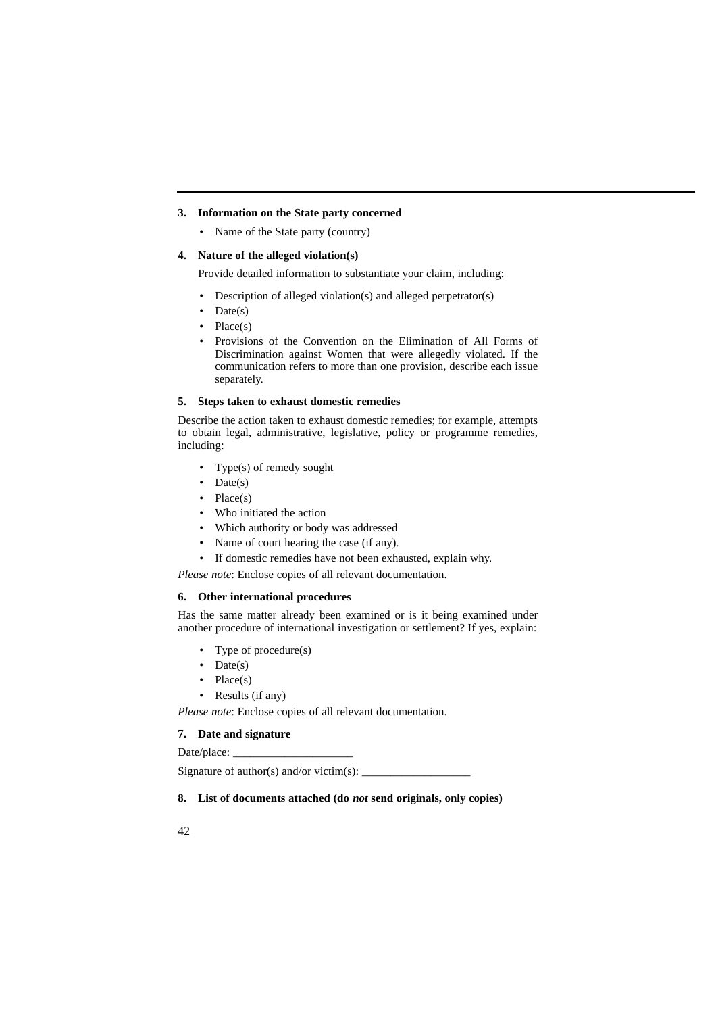#### **3. Information on the State party concerned**

• Name of the State party (country)

#### **4. Nature of the alleged violation(s)**

Provide detailed information to substantiate your claim, including:

- Description of alleged violation(s) and alleged perpetrator(s)
- $Date(s)$
- Place(s)
- Provisions of the Convention on the Elimination of All Forms of Discrimination against Women that were allegedly violated. If the communication refers to more than one provision, describe each issue separately.

#### **5. Steps taken to exhaust domestic remedies**

Describe the action taken to exhaust domestic remedies; for example, attempts to obtain legal, administrative, legislative, policy or programme remedies, including:

- Type(s) of remedy sought
- Date(s)
- Place(s)
- Who initiated the action
- Which authority or body was addressed
- Name of court hearing the case (if any).
- If domestic remedies have not been exhausted, explain why.

*Please note*: Enclose copies of all relevant documentation.

#### **6. Other international procedures**

Has the same matter already been examined or is it being examined under another procedure of international investigation or settlement? If yes, explain:

- Type of procedure(s)
- $Date(s)$
- Place(s)
- Results (if any)

*Please note*: Enclose copies of all relevant documentation.

#### **7. Date and signature**

Date/place:

Signature of author(s) and/or victim(s):

#### **8. List of documents attached (do** *not* **send originals, only copies)**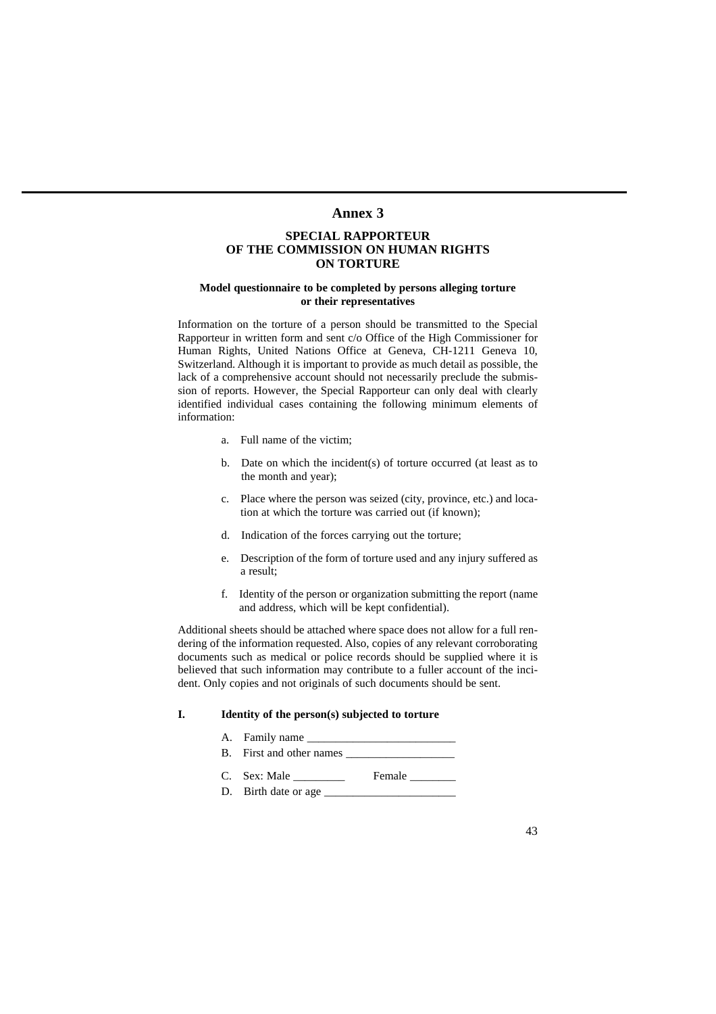#### **Annex 3**

## **SPECIAL RAPPORTEUR OF THE COMMISSION ON HUMAN RIGHTS ON TORTURE**

#### **Model questionnaire to be completed by persons alleging torture or their representatives**

Information on the torture of a person should be transmitted to the Special Rapporteur in written form and sent c/o Office of the High Commissioner for Human Rights, United Nations Office at Geneva, CH-1211 Geneva 10, Switzerland. Although it is important to provide as much detail as possible, the lack of a comprehensive account should not necessarily preclude the submission of reports. However, the Special Rapporteur can only deal with clearly identified individual cases containing the following minimum elements of information:

- a. Full name of the victim;
- b. Date on which the incident(s) of torture occurred (at least as to the month and year);
- c. Place where the person was seized (city, province, etc.) and location at which the torture was carried out (if known);
- d. Indication of the forces carrying out the torture;
- e. Description of the form of torture used and any injury suffered as a result;
- f. Identity of the person or organization submitting the report (name and address, which will be kept confidential).

Additional sheets should be attached where space does not allow for a full rendering of the information requested. Also, copies of any relevant corroborating documents such as medical or police records should be supplied where it is believed that such information may contribute to a fuller account of the incident. Only copies and not originals of such documents should be sent.

#### **I. Identity of the person(s) subjected to torture**

- A. Family name
- B. First and other names
- C. Sex: Male \_\_\_\_\_\_\_\_\_\_ Female \_\_\_\_\_\_\_\_
- D. Birth date or age \_\_\_\_\_\_\_\_\_\_\_\_\_\_\_\_\_\_\_\_\_\_\_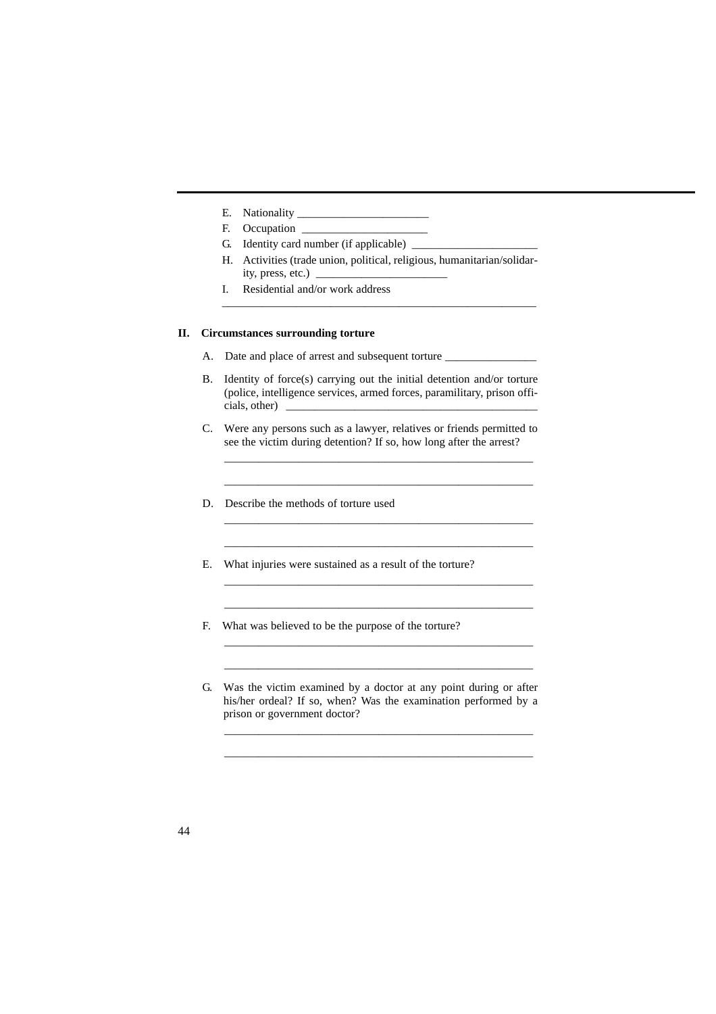- E. Nationality \_\_\_\_\_\_\_\_\_\_\_\_\_\_\_\_\_\_\_\_\_\_\_
- F. Occupation \_\_\_\_\_\_\_\_\_\_\_\_\_\_\_\_\_\_\_\_\_\_
- G. Identity card number (if applicable)  $\qquad$
- H. Activities (trade union, political, religious, humanitarian/solidarity, press, etc.) \_

\_\_\_\_\_\_\_\_\_\_\_\_\_\_\_\_\_\_\_\_\_\_\_\_\_\_\_\_\_\_\_\_\_\_\_\_\_\_\_\_\_\_\_\_\_\_\_\_\_\_\_\_\_\_\_

I. Residential and/or work address

## **II. Circumstances surrounding torture**

- A. Date and place of arrest and subsequent torture \_\_\_\_\_\_\_\_\_\_\_\_\_\_\_\_\_\_\_\_\_\_\_\_\_\_\_\_\_\_
- B. Identity of force(s) carrying out the initial detention and/or torture (police, intelligence services, armed forces, paramilitary, prison officials, other)
- C. Were any persons such as a lawyer, relatives or friends permitted to see the victim during detention? If so, how long after the arrest?

\_\_\_\_\_\_\_\_\_\_\_\_\_\_\_\_\_\_\_\_\_\_\_\_\_\_\_\_\_\_\_\_\_\_\_\_\_\_\_\_\_\_\_\_\_\_\_\_\_\_\_\_\_\_ \_\_\_\_\_\_\_\_\_\_\_\_\_\_\_\_\_\_\_\_\_\_\_\_\_\_\_\_\_\_\_\_\_\_\_\_\_\_\_\_\_\_\_\_\_\_\_\_\_\_\_\_\_\_

\_\_\_\_\_\_\_\_\_\_\_\_\_\_\_\_\_\_\_\_\_\_\_\_\_\_\_\_\_\_\_\_\_\_\_\_\_\_\_\_\_\_\_\_\_\_\_\_\_\_\_\_\_\_ \_\_\_\_\_\_\_\_\_\_\_\_\_\_\_\_\_\_\_\_\_\_\_\_\_\_\_\_\_\_\_\_\_\_\_\_\_\_\_\_\_\_\_\_\_\_\_\_\_\_\_\_\_\_

\_\_\_\_\_\_\_\_\_\_\_\_\_\_\_\_\_\_\_\_\_\_\_\_\_\_\_\_\_\_\_\_\_\_\_\_\_\_\_\_\_\_\_\_\_\_\_\_\_\_\_\_\_\_ \_\_\_\_\_\_\_\_\_\_\_\_\_\_\_\_\_\_\_\_\_\_\_\_\_\_\_\_\_\_\_\_\_\_\_\_\_\_\_\_\_\_\_\_\_\_\_\_\_\_\_\_\_\_

\_\_\_\_\_\_\_\_\_\_\_\_\_\_\_\_\_\_\_\_\_\_\_\_\_\_\_\_\_\_\_\_\_\_\_\_\_\_\_\_\_\_\_\_\_\_\_\_\_\_\_\_\_\_ \_\_\_\_\_\_\_\_\_\_\_\_\_\_\_\_\_\_\_\_\_\_\_\_\_\_\_\_\_\_\_\_\_\_\_\_\_\_\_\_\_\_\_\_\_\_\_\_\_\_\_\_\_\_

- D. Describe the methods of torture used
- E. What injuries were sustained as a result of the torture?
- F. What was believed to be the purpose of the torture?
- G. Was the victim examined by a doctor at any point during or after his/her ordeal? If so, when? Was the examination performed by a prison or government doctor?

\_\_\_\_\_\_\_\_\_\_\_\_\_\_\_\_\_\_\_\_\_\_\_\_\_\_\_\_\_\_\_\_\_\_\_\_\_\_\_\_\_\_\_\_\_\_\_\_\_\_\_\_\_\_ \_\_\_\_\_\_\_\_\_\_\_\_\_\_\_\_\_\_\_\_\_\_\_\_\_\_\_\_\_\_\_\_\_\_\_\_\_\_\_\_\_\_\_\_\_\_\_\_\_\_\_\_\_\_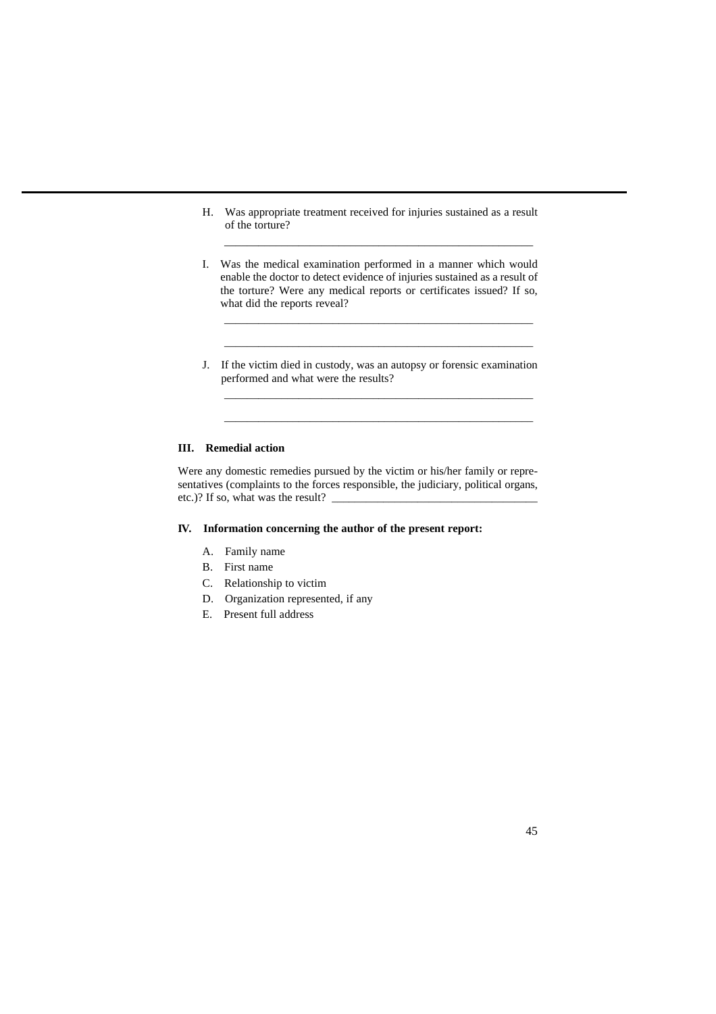H. Was appropriate treatment received for injuries sustained as a result of the torture?

\_\_\_\_\_\_\_\_\_\_\_\_\_\_\_\_\_\_\_\_\_\_\_\_\_\_\_\_\_\_\_\_\_\_\_\_\_\_\_\_\_\_\_\_\_\_\_\_\_\_\_\_\_\_

I. Was the medical examination performed in a manner which would enable the doctor to detect evidence of injuries sustained as a result of the torture? Were any medical reports or certificates issued? If so, what did the reports reveal?

\_\_\_\_\_\_\_\_\_\_\_\_\_\_\_\_\_\_\_\_\_\_\_\_\_\_\_\_\_\_\_\_\_\_\_\_\_\_\_\_\_\_\_\_\_\_\_\_\_\_\_\_\_\_ \_\_\_\_\_\_\_\_\_\_\_\_\_\_\_\_\_\_\_\_\_\_\_\_\_\_\_\_\_\_\_\_\_\_\_\_\_\_\_\_\_\_\_\_\_\_\_\_\_\_\_\_\_\_

J. If the victim died in custody, was an autopsy or forensic examination performed and what were the results?

\_\_\_\_\_\_\_\_\_\_\_\_\_\_\_\_\_\_\_\_\_\_\_\_\_\_\_\_\_\_\_\_\_\_\_\_\_\_\_\_\_\_\_\_\_\_\_\_\_\_\_\_\_\_ \_\_\_\_\_\_\_\_\_\_\_\_\_\_\_\_\_\_\_\_\_\_\_\_\_\_\_\_\_\_\_\_\_\_\_\_\_\_\_\_\_\_\_\_\_\_\_\_\_\_\_\_\_\_

#### **III. Remedial action**

Were any domestic remedies pursued by the victim or his/her family or representatives (complaints to the forces responsible, the judiciary, political organs, etc.)? If so, what was the result?

#### **IV. Information concerning the author of the present report:**

- A. Family name
- B. First name
- C. Relationship to victim
- D. Organization represented, if any
- E. Present full address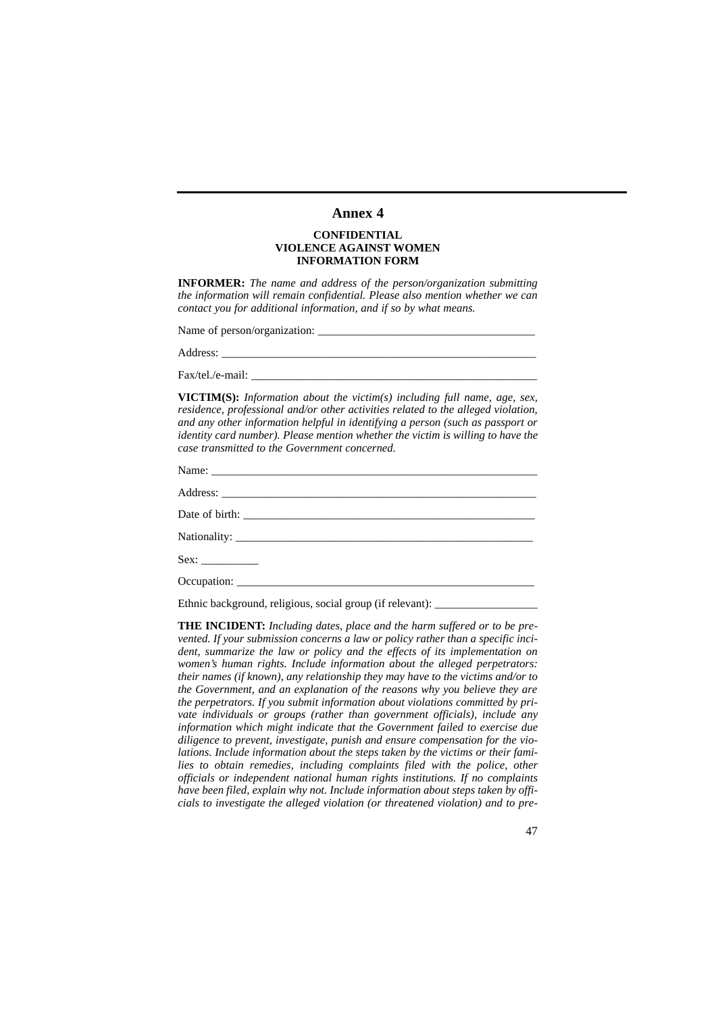#### **Annex 4**

#### **CONFIDENTIAL VIOLENCE AGAINST WOMEN INFORMATION FORM**

**INFORMER:** *The name and address of the person/organization submitting the information will remain confidential. Please also mention whether we can contact you for additional information, and if so by what means.*

Name of person/organization: \_\_\_\_\_\_\_\_\_\_\_\_\_\_\_\_\_\_\_\_\_\_\_\_\_\_\_\_\_\_\_\_\_\_\_\_\_\_

Address:

Fax/tel./e-mail: \_

**VICTIM(S):** *Information about the victim(s) including full name, age, sex, residence, professional and/or other activities related to the alleged violation, and any other information helpful in identifying a person (such as passport or identity card number). Please mention whether the victim is willing to have the case transmitted to the Government concerned.*

Name: \_\_\_\_\_\_\_\_\_\_\_\_\_\_\_\_\_\_\_\_\_\_\_\_\_\_\_\_\_\_\_\_\_\_\_\_\_\_\_\_\_\_\_\_\_\_\_\_\_\_\_\_\_\_\_\_\_

Address: \_\_\_\_\_\_\_\_\_\_\_\_\_\_\_\_\_\_\_\_\_\_\_\_\_\_\_\_\_\_\_\_\_\_\_\_\_\_\_\_\_\_\_\_\_\_\_\_\_\_\_\_\_\_\_

Date of birth:

Nationality:

Sex: \_\_\_\_\_\_\_\_\_\_

Occupation:

Ethnic background, religious, social group (if relevant):

**THE INCIDENT:** *Including dates, place and the harm suffered or to be prevented. If your submission concerns a law or policy rather than a specific incident, summarize the law or policy and the effects of its implementation on women's human rights. Include information about the alleged perpetrators: their names (if known), any relationship they may have to the victims and/or to the Government, and an explanation of the reasons why you believe they are the perpetrators. If you submit information about violations committed by private individuals or groups (rather than government officials), include any information which might indicate that the Government failed to exercise due diligence to prevent, investigate, punish and ensure compensation for the violations. Include information about the steps taken by the victims or their families to obtain remedies, including complaints filed with the police, other officials or independent national human rights institutions. If no complaints have been filed, explain why not. Include information about steps taken by officials to investigate the alleged violation (or threatened violation) and to pre-*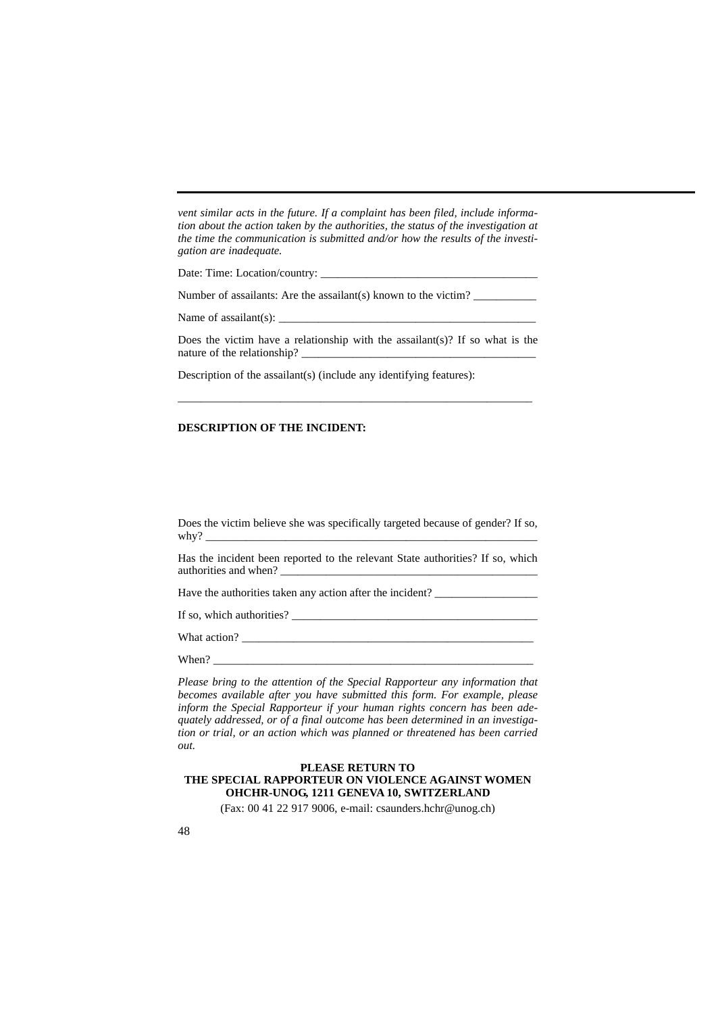*vent similar acts in the future. If a complaint has been filed, include information about the action taken by the authorities, the status of the investigation at the time the communication is submitted and/or how the results of the investigation are inadequate.*

Date: Time: Location/country:

Number of assailants: Are the assailant(s) known to the victim? \_\_\_\_\_\_\_\_\_\_\_\_\_\_\_\_\_

Name of assailant $(s)$ :

Does the victim have a relationship with the assailant(s)? If so what is the nature of the relationship?

\_\_\_\_\_\_\_\_\_\_\_\_\_\_\_\_\_\_\_\_\_\_\_\_\_\_\_\_\_\_\_\_\_\_\_\_\_\_\_\_\_\_\_\_\_\_\_\_\_\_\_\_\_\_\_\_\_\_\_\_\_\_

Description of the assailant(s) (include any identifying features):

#### **DESCRIPTION OF THE INCIDENT:**

Does the victim believe she was specifically targeted because of gender? If so, why? \_\_\_\_\_\_\_\_\_\_\_\_\_\_\_\_\_\_\_\_\_\_\_\_\_\_\_\_\_\_\_\_\_\_\_\_\_\_\_\_\_\_\_\_\_\_\_\_\_\_\_\_\_\_\_\_\_\_

Has the incident been reported to the relevant State authorities? If so, which authorities and when?

Have the authorities taken any action after the incident?

If so, which authorities?

What action?

When?

*Please bring to the attention of the Special Rapporteur any information that becomes available after you have submitted this form. For example, please inform the Special Rapporteur if your human rights concern has been adequately addressed, or of a final outcome has been determined in an investigation or trial, or an action which was planned or threatened has been carried out.*

#### **PLEASE RETURN TO THE SPECIAL RAPPORTEUR ON VIOLENCE AGAINST WOMEN OHCHR-UNOG, 1211 GENEVA 10, SWITZERLAND**

(Fax: 00 41 22 917 9006, e-mail: csaunders.hchr@unog.ch)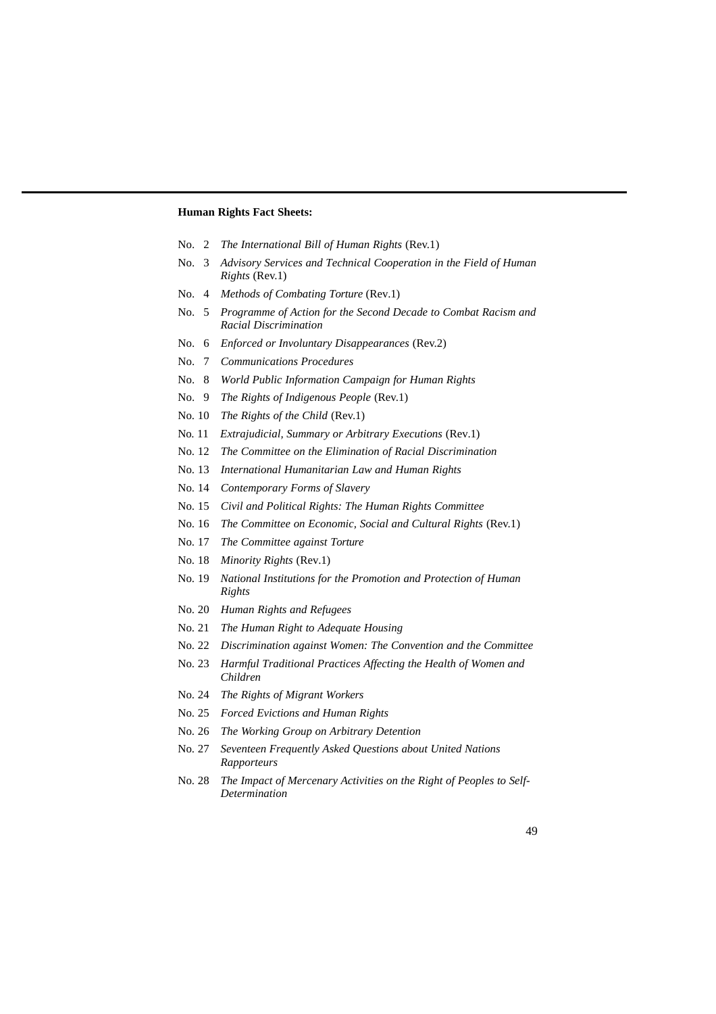## **Human Rights Fact Sheets:**

| No.<br>2 | The International Bill of Human Rights (Rev.1)                                                 |
|----------|------------------------------------------------------------------------------------------------|
| No.<br>3 | Advisory Services and Technical Cooperation in the Field of Human<br>Rights (Rev.1)            |
| No.<br>4 | Methods of Combating Torture (Rev.1)                                                           |
| No.<br>5 | Programme of Action for the Second Decade to Combat Racism and<br><b>Racial Discrimination</b> |
| No.<br>6 | Enforced or Involuntary Disappearances (Rev.2)                                                 |
| No.<br>7 | <b>Communications Procedures</b>                                                               |
| No.<br>8 | World Public Information Campaign for Human Rights                                             |
| No.<br>9 | The Rights of Indigenous People (Rev.1)                                                        |
| No. 10   | The Rights of the Child (Rev.1)                                                                |
| No. 11   | <i>Extrajudicial, Summary or Arbitrary Executions (Rev.1)</i>                                  |
| No. 12   | The Committee on the Elimination of Racial Discrimination                                      |
| No. 13   | International Humanitarian Law and Human Rights                                                |
| No. 14   | Contemporary Forms of Slavery                                                                  |
| No. 15   | Civil and Political Rights: The Human Rights Committee                                         |
| No. 16   | The Committee on Economic, Social and Cultural Rights (Rev.1)                                  |
| No. 17   | The Committee against Torture                                                                  |
| No. 18   | Minority Rights (Rev.1)                                                                        |
| No. 19   | National Institutions for the Promotion and Protection of Human<br>Rights                      |
| No. 20   | Human Rights and Refugees                                                                      |
| No. 21   | The Human Right to Adequate Housing                                                            |
| No. 22   | Discrimination against Women: The Convention and the Committee                                 |
| No. 23   | Harmful Traditional Practices Affecting the Health of Women and<br>Children                    |
| No. 24   | The Rights of Migrant Workers                                                                  |
| No. 25   | <b>Forced Evictions and Human Rights</b>                                                       |
| No. 26   | The Working Group on Arbitrary Detention                                                       |
| No. 27   | Seventeen Frequently Asked Questions about United Nations<br>Rapporteurs                       |

No. 28 *The Impact of Mercenary Activities on the Right of Peoples to Self-Determination*